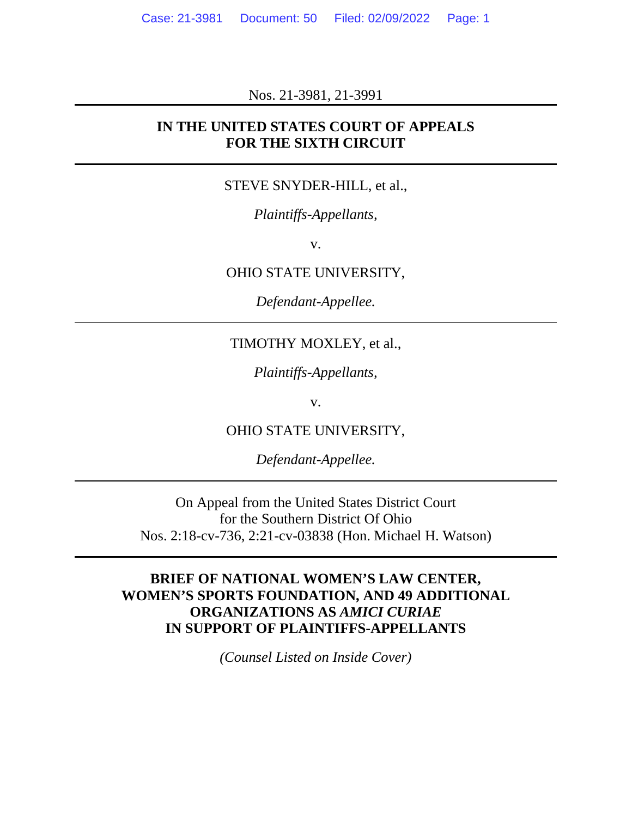Nos. 21-3981, 21-3991

#### **IN THE UNITED STATES COURT OF APPEALS FOR THE SIXTH CIRCUIT**

#### STEVE SNYDER-HILL, et al.,

*Plaintiffs-Appellants,*

v.

#### OHIO STATE UNIVERSITY,

*Defendant-Appellee.*

## TIMOTHY MOXLEY, et al.,

*Plaintiffs-Appellants,*

v.

OHIO STATE UNIVERSITY,

*Defendant-Appellee.*

On Appeal from the United States District Court for the Southern District Of Ohio Nos. 2:18-cv-736, 2:21-cv-03838 (Hon. Michael H. Watson)

## **BRIEF OF NATIONAL WOMEN'S LAW CENTER, WOMEN'S SPORTS FOUNDATION, AND 49 ADDITIONAL ORGANIZATIONS AS** *AMICI CURIAE*  **IN SUPPORT OF PLAINTIFFS-APPELLANTS**

*(Counsel Listed on Inside Cover)*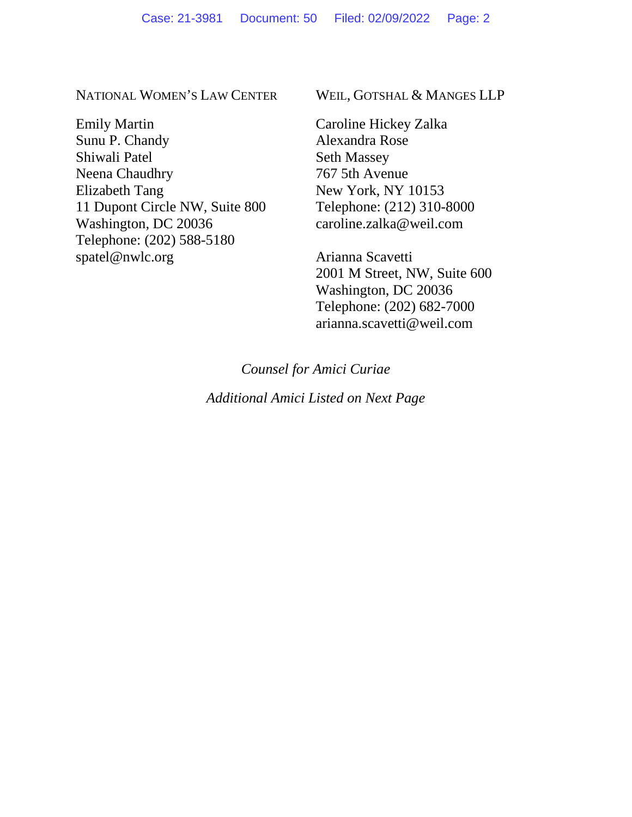NATIONAL WOMEN'S LAW CENTER

Emily Martin Sunu P. Chandy Shiwali Patel Neena Chaudhry Elizabeth Tang 11 Dupont Circle NW, Suite 800 Washington, DC 20036 Telephone: (202) 588-5180 spatel@nwlc.org

WEIL, GOTSHAL & MANGES LLP

Caroline Hickey Zalka Alexandra Rose Seth Massey 767 5th Avenue New York, NY 10153 Telephone: (212) 310-8000 caroline.zalka@weil.com

Arianna Scavetti 2001 M Street, NW, Suite 600 Washington, DC 20036 Telephone: (202) 682-7000 arianna.scavetti@weil.com

*Counsel for Amici Curiae*

*Additional Amici Listed on Next Page*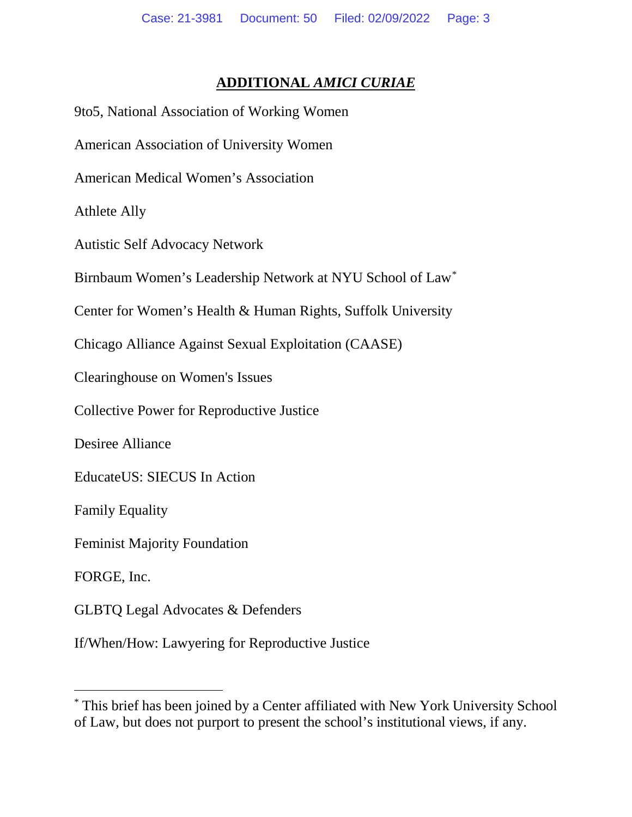## **ADDITIONAL** *AMICI CURIAE*

| 9to5, National Association of Working Women                  |
|--------------------------------------------------------------|
| <b>American Association of University Women</b>              |
| <b>American Medical Women's Association</b>                  |
| <b>Athlete Ally</b>                                          |
| <b>Autistic Self Advocacy Network</b>                        |
| Birnbaum Women's Leadership Network at NYU School of Law*    |
| Center for Women's Health & Human Rights, Suffolk University |
| Chicago Alliance Against Sexual Exploitation (CAASE)         |
| Clearinghouse on Women's Issues                              |
| <b>Collective Power for Reproductive Justice</b>             |
| <b>Desiree Alliance</b>                                      |
| EducateUS: SIECUS In Action                                  |
| <b>Family Equality</b>                                       |
| <b>Feminist Majority Foundation</b>                          |
| FORGE, Inc.                                                  |
| <b>GLBTQ Legal Advocates &amp; Defenders</b>                 |
| If/When/How: Lawyering for Reproductive Justice              |

<sup>\*</sup> This brief has been joined by a Center affiliated with New York University School of Law, but does not purport to present the school's institutional views, if any.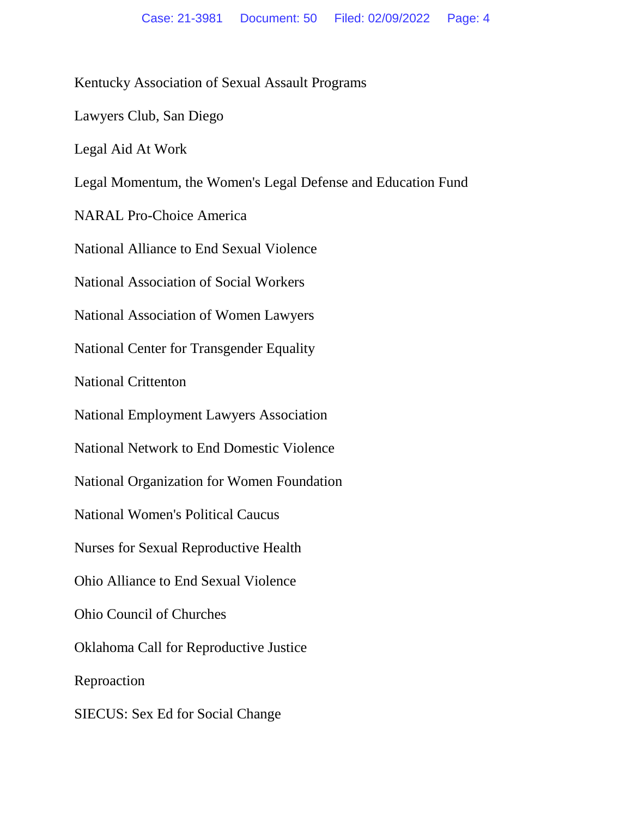Kentucky Association of Sexual Assault Programs

Lawyers Club, San Diego

Legal Aid At Work

Legal Momentum, the Women's Legal Defense and Education Fund

NARAL Pro-Choice America

National Alliance to End Sexual Violence

National Association of Social Workers

National Association of Women Lawyers

National Center for Transgender Equality

National Crittenton

National Employment Lawyers Association

National Network to End Domestic Violence

National Organization for Women Foundation

National Women's Political Caucus

Nurses for Sexual Reproductive Health

Ohio Alliance to End Sexual Violence

Ohio Council of Churches

Oklahoma Call for Reproductive Justice

Reproaction

SIECUS: Sex Ed for Social Change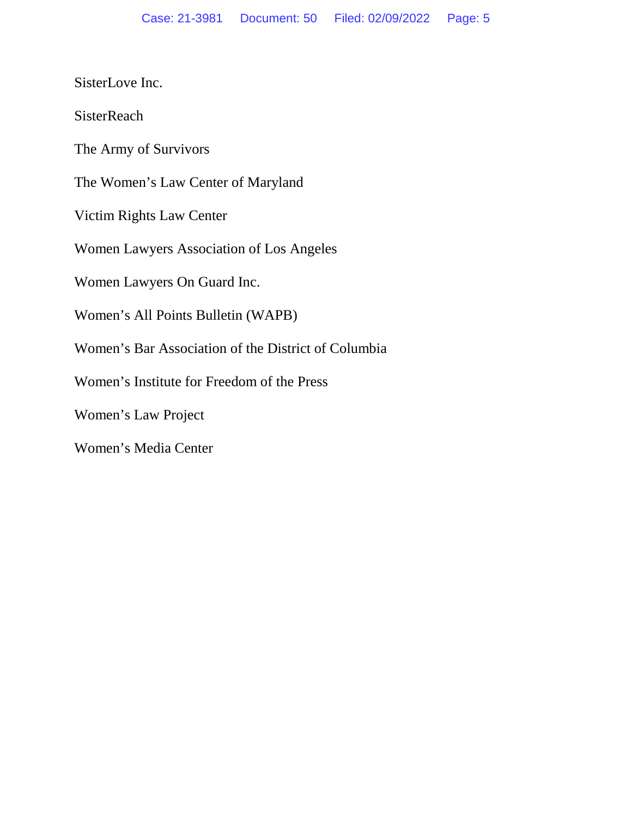SisterLove Inc.

**SisterReach** 

The Army of Survivors

The Women's Law Center of Maryland

Victim Rights Law Center

Women Lawyers Association of Los Angeles

Women Lawyers On Guard Inc.

Women's All Points Bulletin (WAPB)

Women's Bar Association of the District of Columbia

Women's Institute for Freedom of the Press

Women's Law Project

Women's Media Center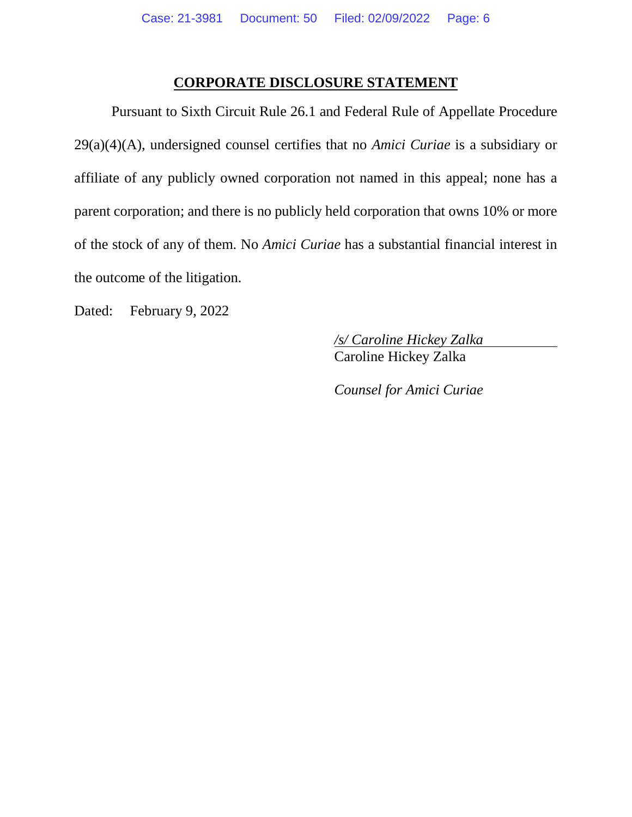### **CORPORATE DISCLOSURE STATEMENT**

Pursuant to Sixth Circuit Rule 26.1 and Federal Rule of Appellate Procedure 29(a)(4)(A), undersigned counsel certifies that no *Amici Curiae* is a subsidiary or affiliate of any publicly owned corporation not named in this appeal; none has a parent corporation; and there is no publicly held corporation that owns 10% or more of the stock of any of them. No *Amici Curiae* has a substantial financial interest in the outcome of the litigation.

Dated: February 9, 2022

 */s/ Caroline Hickey Zalka*  **Caroline Hickey Zalka** 

*Counsel for Amici Curiae*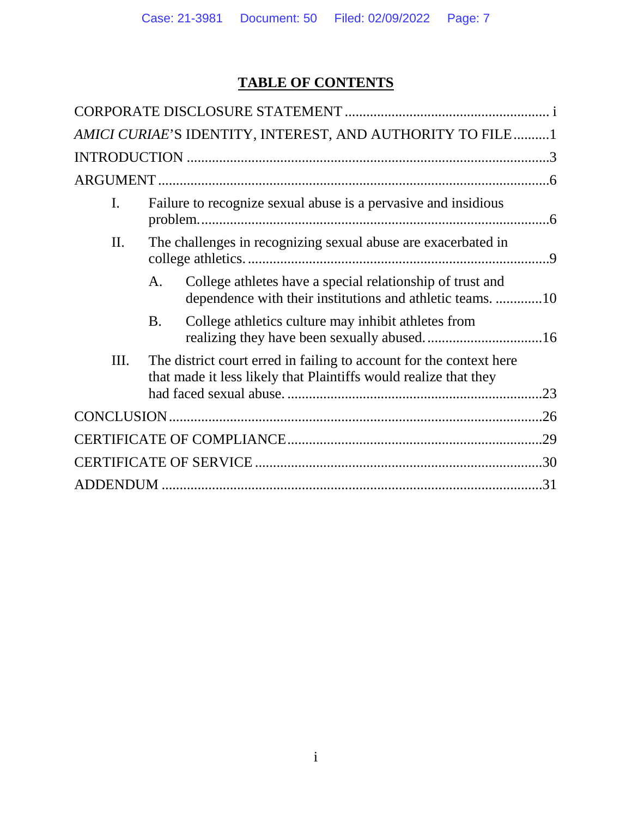# **TABLE OF CONTENTS**

|      |           | AMICI CURIAE'S IDENTITY, INTEREST, AND AUTHORITY TO FILE1                                                                               |     |
|------|-----------|-----------------------------------------------------------------------------------------------------------------------------------------|-----|
|      |           |                                                                                                                                         |     |
|      |           |                                                                                                                                         |     |
| I.   |           | Failure to recognize sexual abuse is a pervasive and insidious                                                                          |     |
| Π.   |           | The challenges in recognizing sexual abuse are exacerbated in                                                                           |     |
|      | A.        | College athletes have a special relationship of trust and<br>dependence with their institutions and athletic teams. 10                  |     |
|      | <b>B.</b> | College athletics culture may inhibit athletes from                                                                                     |     |
| III. |           | The district court erred in failing to account for the context here<br>that made it less likely that Plaintiffs would realize that they |     |
|      |           |                                                                                                                                         |     |
|      |           |                                                                                                                                         | .29 |
|      |           |                                                                                                                                         |     |
|      |           |                                                                                                                                         |     |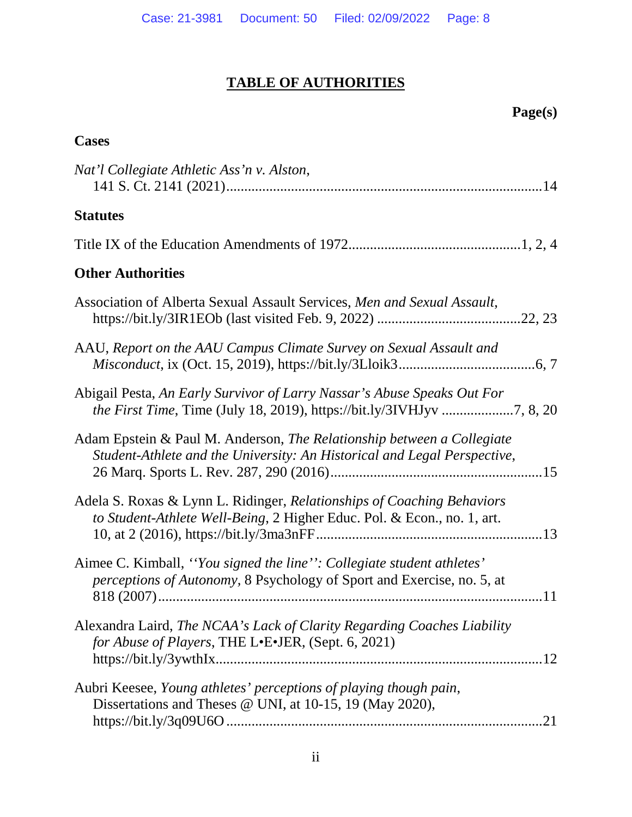# **TABLE OF AUTHORITIES**

## **Page(s)**

| <b>Cases</b>                                                                                                                                       |
|----------------------------------------------------------------------------------------------------------------------------------------------------|
| Nat'l Collegiate Athletic Ass'n v. Alston,                                                                                                         |
| <b>Statutes</b>                                                                                                                                    |
|                                                                                                                                                    |
| <b>Other Authorities</b>                                                                                                                           |
| Association of Alberta Sexual Assault Services, Men and Sexual Assault,                                                                            |
| AAU, Report on the AAU Campus Climate Survey on Sexual Assault and                                                                                 |
| Abigail Pesta, An Early Survivor of Larry Nassar's Abuse Speaks Out For                                                                            |
| Adam Epstein & Paul M. Anderson, The Relationship between a Collegiate<br>Student-Athlete and the University: An Historical and Legal Perspective, |
| Adela S. Roxas & Lynn L. Ridinger, Relationships of Coaching Behaviors<br>to Student-Athlete Well-Being, 2 Higher Educ. Pol. & Econ., no. 1, art.  |
| Aimee C. Kimball, "You signed the line": Collegiate student athletes"<br>perceptions of Autonomy, 8 Psychology of Sport and Exercise, no. 5, at    |
| Alexandra Laird, The NCAA's Lack of Clarity Regarding Coaches Liability<br>for Abuse of Players, THE L.E.JER, (Sept. 6, 2021)                      |
| Aubri Keesee, Young athletes' perceptions of playing though pain,<br>Dissertations and Theses @ UNI, at 10-15, 19 (May 2020),                      |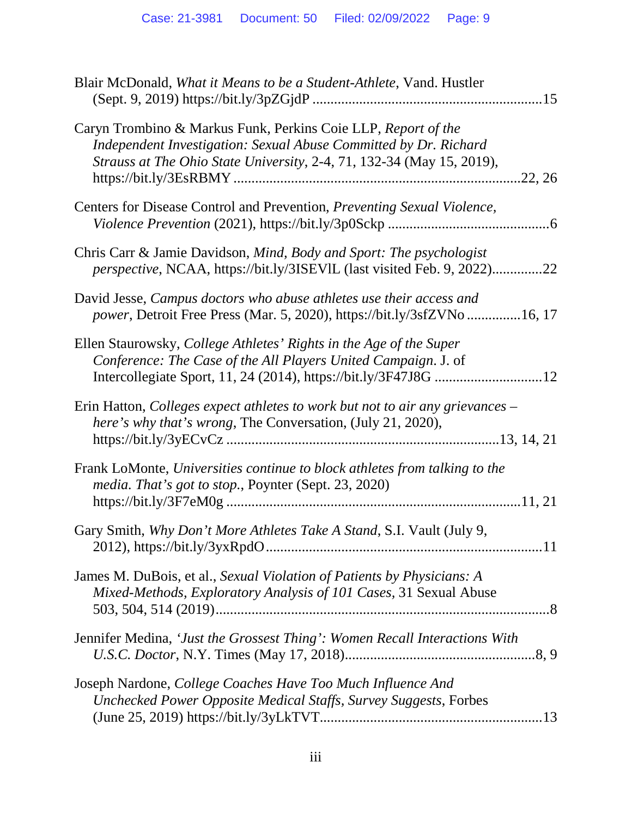| Blair McDonald, What it Means to be a Student-Athlete, Vand. Hustler                                                                                                                                                  |
|-----------------------------------------------------------------------------------------------------------------------------------------------------------------------------------------------------------------------|
| Caryn Trombino & Markus Funk, Perkins Coie LLP, Report of the<br>Independent Investigation: Sexual Abuse Committed by Dr. Richard<br>Strauss at The Ohio State University, 2-4, 71, 132-34 (May 15, 2019),<br>.22, 26 |
| Centers for Disease Control and Prevention, Preventing Sexual Violence,                                                                                                                                               |
| Chris Carr & Jamie Davidson, Mind, Body and Sport: The psychologist<br>perspective, NCAA, https://bit.ly/3ISEVIL (last visited Feb. 9, 2022)22                                                                        |
| David Jesse, Campus doctors who abuse athletes use their access and<br><i>power</i> , Detroit Free Press (Mar. 5, 2020), https://bit.ly/3sfZVNo16, 17                                                                 |
| Ellen Staurowsky, College Athletes' Rights in the Age of the Super<br>Conference: The Case of the All Players United Campaign. J. of                                                                                  |
| Erin Hatton, Colleges expect athletes to work but not to air any grievances –<br>here's why that's wrong, The Conversation, (July 21, 2020),                                                                          |
| Frank LoMonte, Universities continue to block athletes from talking to the<br>media. That's got to stop., Poynter (Sept. 23, 2020)                                                                                    |
| Gary Smith, Why Don't More Athletes Take A Stand, S.I. Vault (July 9,                                                                                                                                                 |
| James M. DuBois, et al., Sexual Violation of Patients by Physicians: A<br>Mixed-Methods, Exploratory Analysis of 101 Cases, 31 Sexual Abuse                                                                           |
| Jennifer Medina, 'Just the Grossest Thing': Women Recall Interactions With                                                                                                                                            |
| Joseph Nardone, College Coaches Have Too Much Influence And<br>Unchecked Power Opposite Medical Staffs, Survey Suggests, Forbes                                                                                       |
|                                                                                                                                                                                                                       |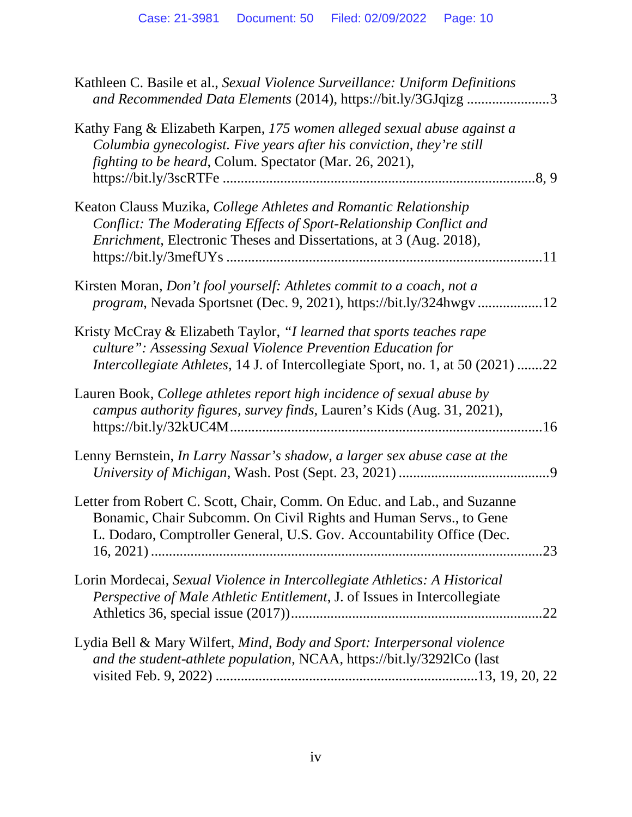| Kathleen C. Basile et al., Sexual Violence Surveillance: Uniform Definitions<br>and Recommended Data Elements (2014), https://bit.ly/3GJqizg 3                                                                                   |
|----------------------------------------------------------------------------------------------------------------------------------------------------------------------------------------------------------------------------------|
| Kathy Fang & Elizabeth Karpen, 175 women alleged sexual abuse against a<br>Columbia gynecologist. Five years after his conviction, they're still<br><i>fighting to be heard, Colum. Spectator (Mar. 26, 2021),</i>               |
| Keaton Clauss Muzika, College Athletes and Romantic Relationship<br>Conflict: The Moderating Effects of Sport-Relationship Conflict and<br><i>Enrichment</i> , Electronic Theses and Dissertations, at 3 (Aug. 2018),            |
| Kirsten Moran, Don't fool yourself: Athletes commit to a coach, not a<br>program, Nevada Sportsnet (Dec. 9, 2021), https://bit.ly/324hwgv12                                                                                      |
| Kristy McCray & Elizabeth Taylor, "I learned that sports teaches rape<br>culture": Assessing Sexual Violence Prevention Education for<br><i>Intercollegiate Athletes, 14 J. of Intercollegiate Sport, no. 1, at 50 (2021) 22</i> |
| Lauren Book, College athletes report high incidence of sexual abuse by<br>campus authority figures, survey finds, Lauren's Kids (Aug. 31, 2021),                                                                                 |
| Lenny Bernstein, In Larry Nassar's shadow, a larger sex abuse case at the                                                                                                                                                        |
| Letter from Robert C. Scott, Chair, Comm. On Educ. and Lab., and Suzanne<br>Bonamic, Chair Subcomm. On Civil Rights and Human Servs., to Gene<br>L. Dodaro, Comptroller General, U.S. Gov. Accountability Office (Dec.<br>.23    |
| Lorin Mordecai, Sexual Violence in Intercollegiate Athletics: A Historical<br>Perspective of Male Athletic Entitlement, J. of Issues in Intercollegiate                                                                          |
| Lydia Bell & Mary Wilfert, Mind, Body and Sport: Interpersonal violence<br>and the student-athlete population, NCAA, https://bit.ly/3292lCo (last                                                                                |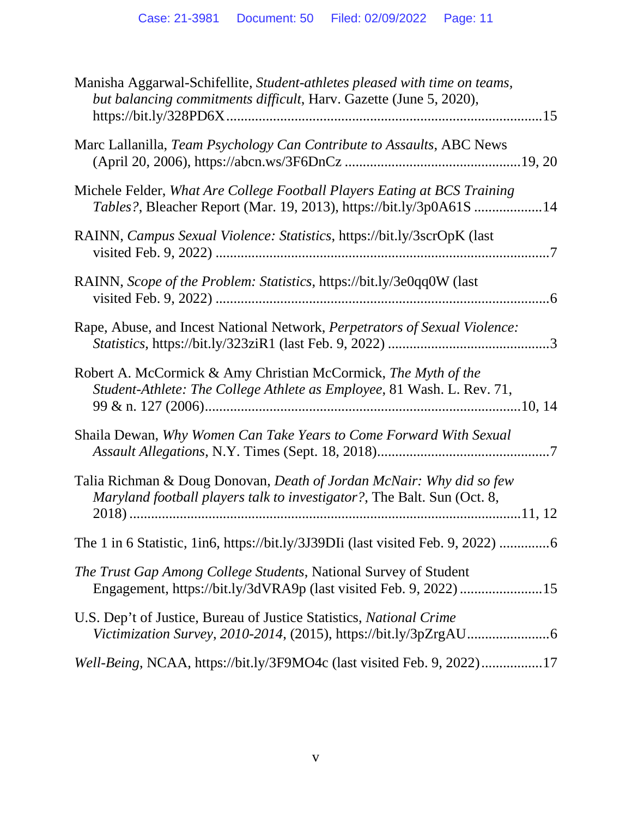| Manisha Aggarwal-Schifellite, Student-athletes pleased with time on teams,<br>but balancing commitments difficult, Harv. Gazette (June 5, 2020), |
|--------------------------------------------------------------------------------------------------------------------------------------------------|
| Marc Lallanilla, Team Psychology Can Contribute to Assaults, ABC News                                                                            |
| Michele Felder, What Are College Football Players Eating at BCS Training<br>Tables?, Bleacher Report (Mar. 19, 2013), https://bit.ly/3p0A61S 14  |
| RAINN, Campus Sexual Violence: Statistics, https://bit.ly/3scrOpK (last                                                                          |
| RAINN, Scope of the Problem: Statistics, https://bit.ly/3e0qq0W (last                                                                            |
| Rape, Abuse, and Incest National Network, Perpetrators of Sexual Violence:                                                                       |
| Robert A. McCormick & Amy Christian McCormick, The Myth of the<br>Student-Athlete: The College Athlete as Employee, 81 Wash. L. Rev. 71,         |
| Shaila Dewan, Why Women Can Take Years to Come Forward With Sexual                                                                               |
| Talia Richman & Doug Donovan, Death of Jordan McNair: Why did so few<br>Maryland football players talk to investigator?, The Balt. Sun (Oct. 8,  |
| The 1 in 6 Statistic, 1in6, https://bit.ly/3J39DIi (last visited Feb. 9, 2022) 6                                                                 |
| The Trust Gap Among College Students, National Survey of Student                                                                                 |
| U.S. Dep't of Justice, Bureau of Justice Statistics, National Crime                                                                              |
| Well-Being, NCAA, https://bit.ly/3F9MO4c (last visited Feb. 9, 2022)17                                                                           |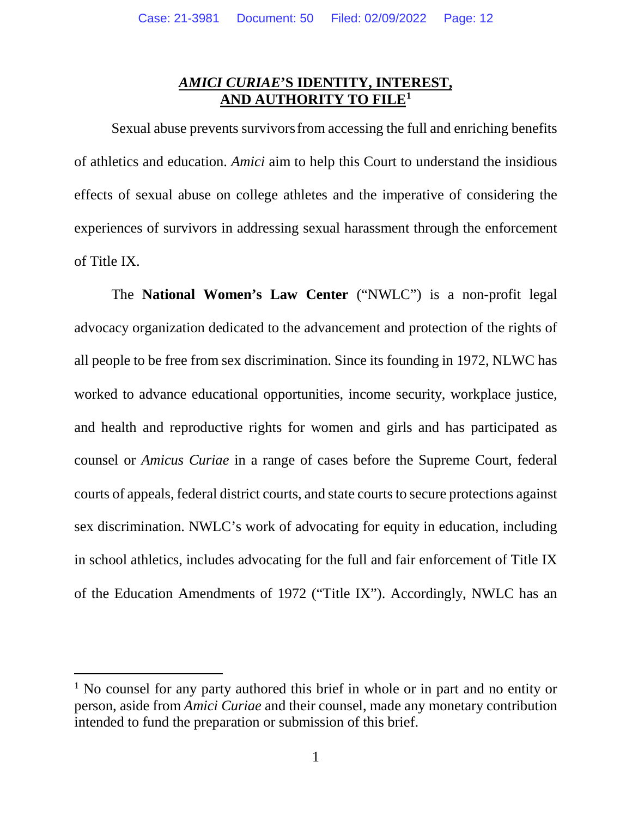## *AMICI CURIAE***'S IDENTITY, INTEREST, AND AUTHORITY TO FILE1**

Sexual abuse prevents survivorsfrom accessing the full and enriching benefits of athletics and education. *Amici* aim to help this Court to understand the insidious effects of sexual abuse on college athletes and the imperative of considering the experiences of survivors in addressing sexual harassment through the enforcement of Title IX.

The **National Women's Law Center** ("NWLC") is a non-profit legal advocacy organization dedicated to the advancement and protection of the rights of all people to be free from sex discrimination. Since its founding in 1972, NLWC has worked to advance educational opportunities, income security, workplace justice, and health and reproductive rights for women and girls and has participated as counsel or *Amicus Curiae* in a range of cases before the Supreme Court, federal courts of appeals, federal district courts, and state courts to secure protections against sex discrimination. NWLC's work of advocating for equity in education, including in school athletics, includes advocating for the full and fair enforcement of Title IX of the Education Amendments of 1972 ("Title IX"). Accordingly, NWLC has an

<sup>&</sup>lt;sup>1</sup> No counsel for any party authored this brief in whole or in part and no entity or person, aside from *Amici Curiae* and their counsel, made any monetary contribution intended to fund the preparation or submission of this brief.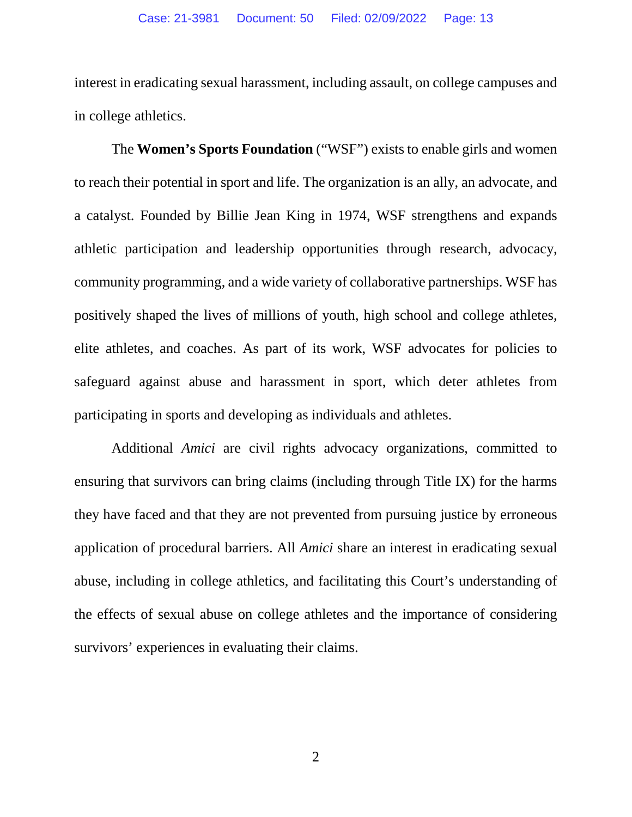interest in eradicating sexual harassment, including assault, on college campuses and in college athletics.

The **Women's Sports Foundation** ("WSF") exists to enable girls and women to reach their potential in sport and life. The organization is an ally, an advocate, and a catalyst. Founded by Billie Jean King in 1974, WSF strengthens and expands athletic participation and leadership opportunities through research, advocacy, community programming, and a wide variety of collaborative partnerships. WSF has positively shaped the lives of millions of youth, high school and college athletes, elite athletes, and coaches. As part of its work, WSF advocates for policies to safeguard against abuse and harassment in sport, which deter athletes from participating in sports and developing as individuals and athletes.

Additional *Amici* are civil rights advocacy organizations, committed to ensuring that survivors can bring claims (including through Title IX) for the harms they have faced and that they are not prevented from pursuing justice by erroneous application of procedural barriers. All *Amici* share an interest in eradicating sexual abuse, including in college athletics, and facilitating this Court's understanding of the effects of sexual abuse on college athletes and the importance of considering survivors' experiences in evaluating their claims.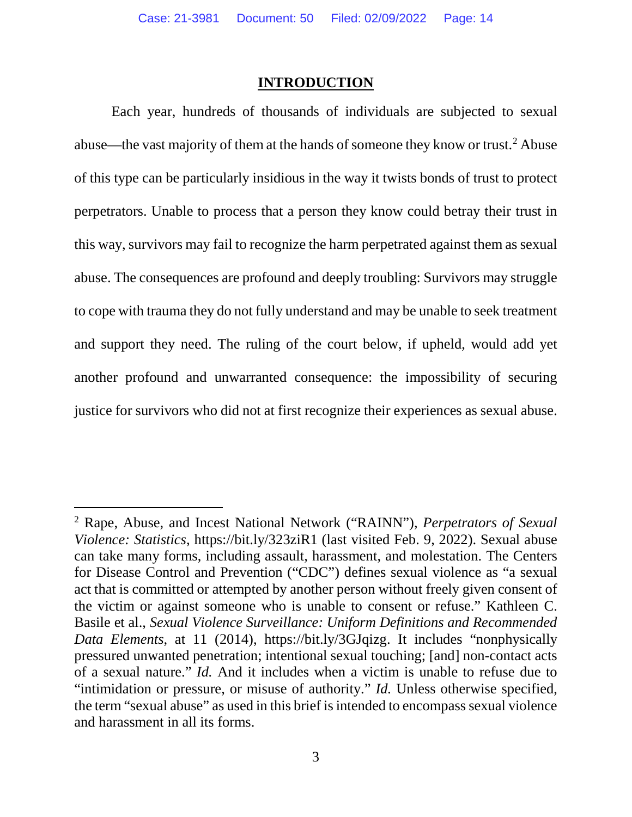#### **INTRODUCTION**

Each year, hundreds of thousands of individuals are subjected to sexual abuse—the vast majority of them at the hands of someone they know or trust.<sup>2</sup> Abuse of this type can be particularly insidious in the way it twists bonds of trust to protect perpetrators. Unable to process that a person they know could betray their trust in this way, survivors may fail to recognize the harm perpetrated against them as sexual abuse. The consequences are profound and deeply troubling: Survivors may struggle to cope with trauma they do not fully understand and may be unable to seek treatment and support they need. The ruling of the court below, if upheld, would add yet another profound and unwarranted consequence: the impossibility of securing justice for survivors who did not at first recognize their experiences as sexual abuse.

<sup>2</sup> Rape, Abuse, and Incest National Network ("RAINN"), *Perpetrators of Sexual Violence: Statistics*, https://bit.ly/323ziR1 (last visited Feb. 9, 2022). Sexual abuse can take many forms, including assault, harassment, and molestation. The Centers for Disease Control and Prevention ("CDC") defines sexual violence as "a sexual act that is committed or attempted by another person without freely given consent of the victim or against someone who is unable to consent or refuse." Kathleen C. Basile et al., *Sexual Violence Surveillance: Uniform Definitions and Recommended Data Elements*, at 11 (2014), https://bit.ly/3GJqizg. It includes "nonphysically pressured unwanted penetration; intentional sexual touching; [and] non-contact acts of a sexual nature." *Id.* And it includes when a victim is unable to refuse due to "intimidation or pressure, or misuse of authority." *Id.* Unless otherwise specified, the term "sexual abuse" as used in this brief is intended to encompass sexual violence and harassment in all its forms.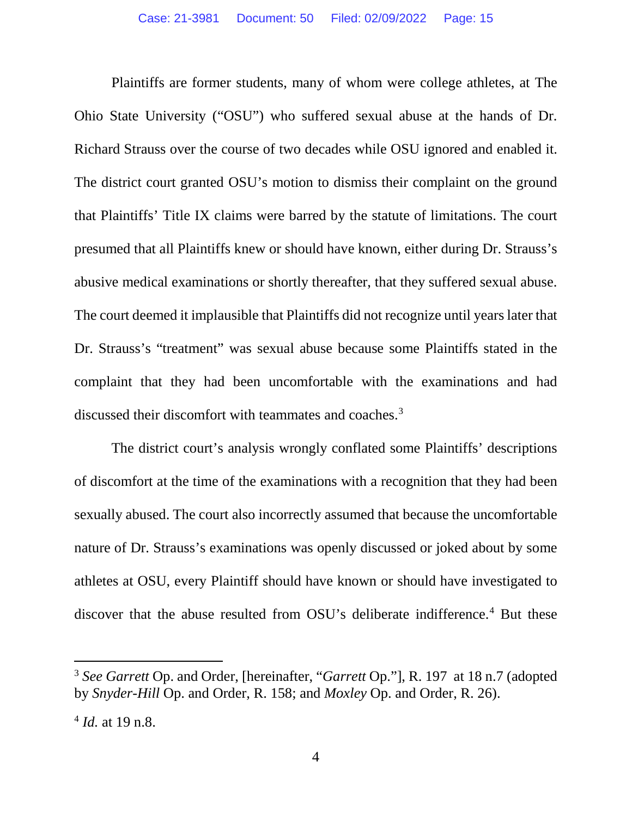Plaintiffs are former students, many of whom were college athletes, at The Ohio State University ("OSU") who suffered sexual abuse at the hands of Dr. Richard Strauss over the course of two decades while OSU ignored and enabled it. The district court granted OSU's motion to dismiss their complaint on the ground that Plaintiffs' Title IX claims were barred by the statute of limitations. The court presumed that all Plaintiffs knew or should have known, either during Dr. Strauss's abusive medical examinations or shortly thereafter, that they suffered sexual abuse. The court deemed it implausible that Plaintiffs did not recognize until years later that Dr. Strauss's "treatment" was sexual abuse because some Plaintiffs stated in the complaint that they had been uncomfortable with the examinations and had discussed their discomfort with teammates and coaches.<sup>3</sup>

The district court's analysis wrongly conflated some Plaintiffs' descriptions of discomfort at the time of the examinations with a recognition that they had been sexually abused. The court also incorrectly assumed that because the uncomfortable nature of Dr. Strauss's examinations was openly discussed or joked about by some athletes at OSU, every Plaintiff should have known or should have investigated to discover that the abuse resulted from OSU's deliberate indifference.<sup>4</sup> But these

<sup>3</sup> *See Garrett* Op. and Order, [hereinafter, "*Garrett* Op."], R. 197 at 18 n.7 (adopted by *Snyder-Hill* Op. and Order, R. 158; and *Moxley* Op. and Order, R. 26).

<sup>4</sup> *Id.* at 19 n.8.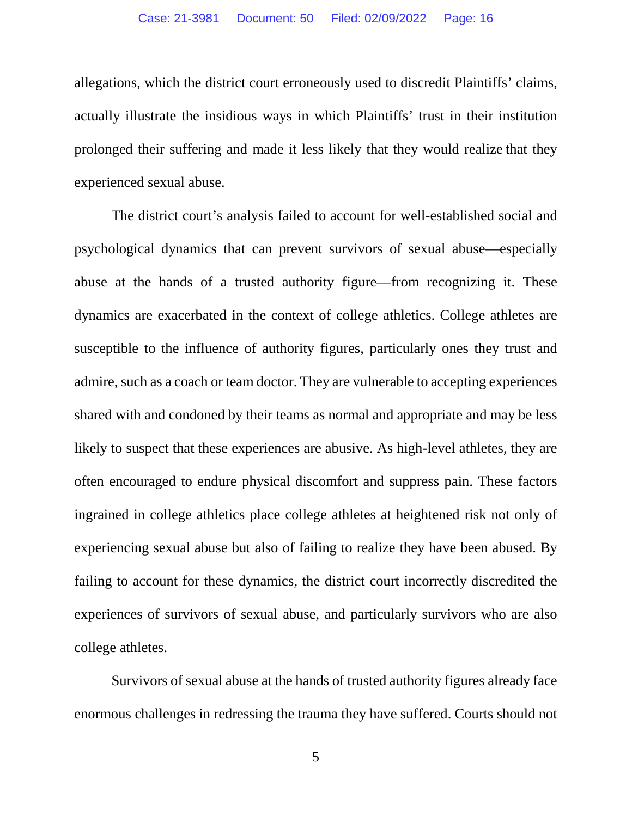allegations, which the district court erroneously used to discredit Plaintiffs' claims, actually illustrate the insidious ways in which Plaintiffs' trust in their institution prolonged their suffering and made it less likely that they would realize that they experienced sexual abuse.

The district court's analysis failed to account for well-established social and psychological dynamics that can prevent survivors of sexual abuse—especially abuse at the hands of a trusted authority figure—from recognizing it. These dynamics are exacerbated in the context of college athletics. College athletes are susceptible to the influence of authority figures, particularly ones they trust and admire, such as a coach or team doctor. They are vulnerable to accepting experiences shared with and condoned by their teams as normal and appropriate and may be less likely to suspect that these experiences are abusive. As high-level athletes, they are often encouraged to endure physical discomfort and suppress pain. These factors ingrained in college athletics place college athletes at heightened risk not only of experiencing sexual abuse but also of failing to realize they have been abused. By failing to account for these dynamics, the district court incorrectly discredited the experiences of survivors of sexual abuse, and particularly survivors who are also college athletes.

Survivors of sexual abuse at the hands of trusted authority figures already face enormous challenges in redressing the trauma they have suffered. Courts should not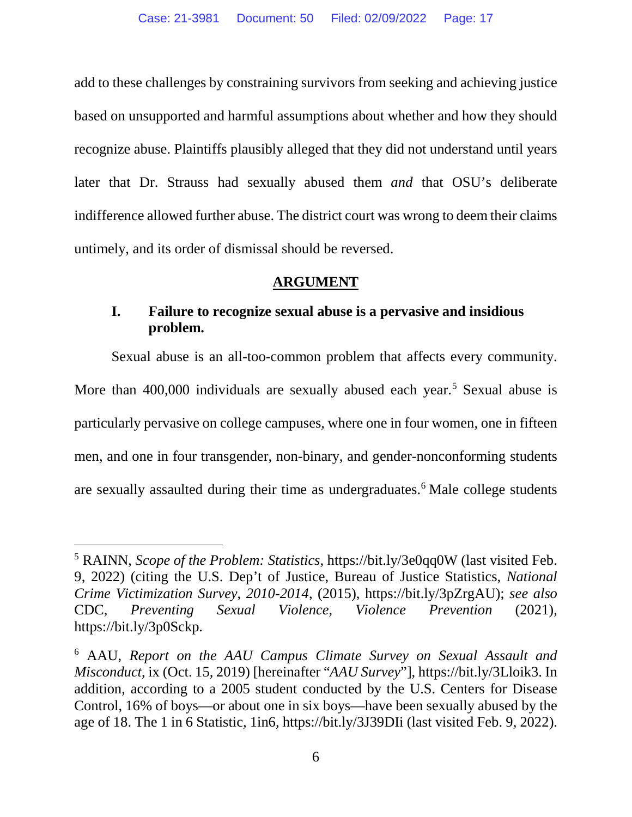add to these challenges by constraining survivors from seeking and achieving justice based on unsupported and harmful assumptions about whether and how they should recognize abuse. Plaintiffs plausibly alleged that they did not understand until years later that Dr. Strauss had sexually abused them *and* that OSU's deliberate indifference allowed further abuse. The district court was wrong to deem their claims untimely, and its order of dismissal should be reversed.

#### **ARGUMENT**

## **I. Failure to recognize sexual abuse is a pervasive and insidious problem.**

Sexual abuse is an all-too-common problem that affects every community. More than 400,000 individuals are sexually abused each year.<sup>5</sup> Sexual abuse is particularly pervasive on college campuses, where one in four women, one in fifteen men, and one in four transgender, non-binary, and gender-nonconforming students are sexually assaulted during their time as undergraduates.<sup>6</sup> Male college students

<sup>5</sup> RAINN, *Scope of the Problem: Statistics*, https://bit.ly/3e0qq0W (last visited Feb. 9, 2022) (citing the U.S. Dep't of Justice, Bureau of Justice Statistics, *National Crime Victimization Survey*, *2010-2014*, (2015), https://bit.ly/3pZrgAU); *see also*  CDC, *Preventing Sexual Violence, Violence Prevention* (2021), https://bit.ly/3p0Sckp.

<sup>6</sup> AAU, *Report on the AAU Campus Climate Survey on Sexual Assault and Misconduct*, ix (Oct. 15, 2019) [hereinafter "*AAU Survey*"], https://bit.ly/3Lloik3. In addition, according to a 2005 student conducted by the U.S. Centers for Disease Control, 16% of boys—or about one in six boys—have been sexually abused by the age of 18. The 1 in 6 Statistic, 1in6, https://bit.ly/3J39DIi (last visited Feb. 9, 2022).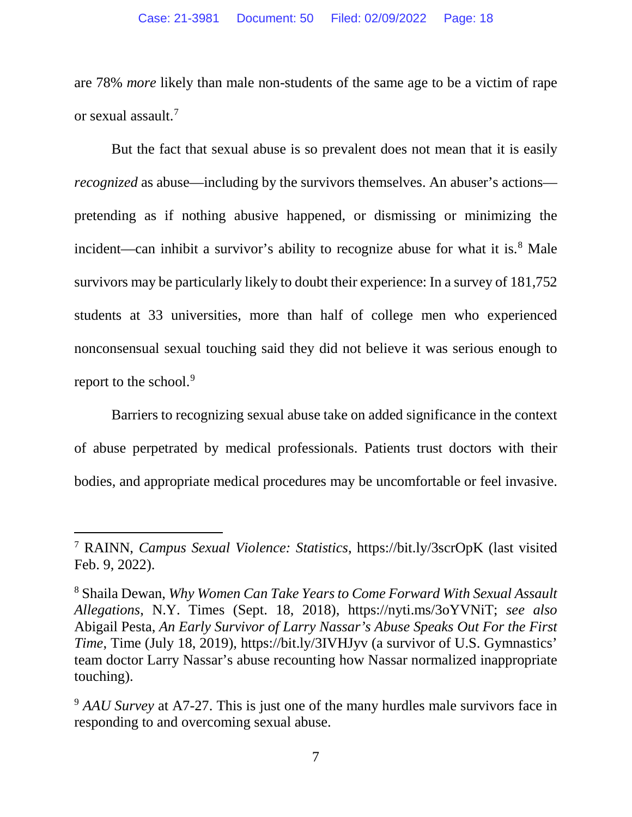are 78% *more* likely than male non-students of the same age to be a victim of rape or sexual assault.<sup>7</sup>

But the fact that sexual abuse is so prevalent does not mean that it is easily *recognized* as abuse—including by the survivors themselves. An abuser's actions pretending as if nothing abusive happened, or dismissing or minimizing the incident—can inhibit a survivor's ability to recognize abuse for what it is. $8$  Male survivors may be particularly likely to doubt their experience: In a survey of 181,752 students at 33 universities, more than half of college men who experienced nonconsensual sexual touching said they did not believe it was serious enough to report to the school.<sup>9</sup>

Barriers to recognizing sexual abuse take on added significance in the context of abuse perpetrated by medical professionals. Patients trust doctors with their bodies, and appropriate medical procedures may be uncomfortable or feel invasive.

<sup>7</sup> RAINN, *Campus Sexual Violence: Statistics*, https://bit.ly/3scrOpK (last visited Feb. 9, 2022).

<sup>8</sup> Shaila Dewan, *Why Women Can Take Years to Come Forward With Sexual Assault Allegations*, N.Y. Times (Sept. 18, 2018), https://nyti.ms/3oYVNiT; *see also*  Abigail Pesta, *An Early Survivor of Larry Nassar's Abuse Speaks Out For the First Time*, Time (July 18, 2019), https://bit.ly/3IVHJyv (a survivor of U.S. Gymnastics' team doctor Larry Nassar's abuse recounting how Nassar normalized inappropriate touching).

<sup>&</sup>lt;sup>9</sup> AAU Survey at A7-27. This is just one of the many hurdles male survivors face in responding to and overcoming sexual abuse.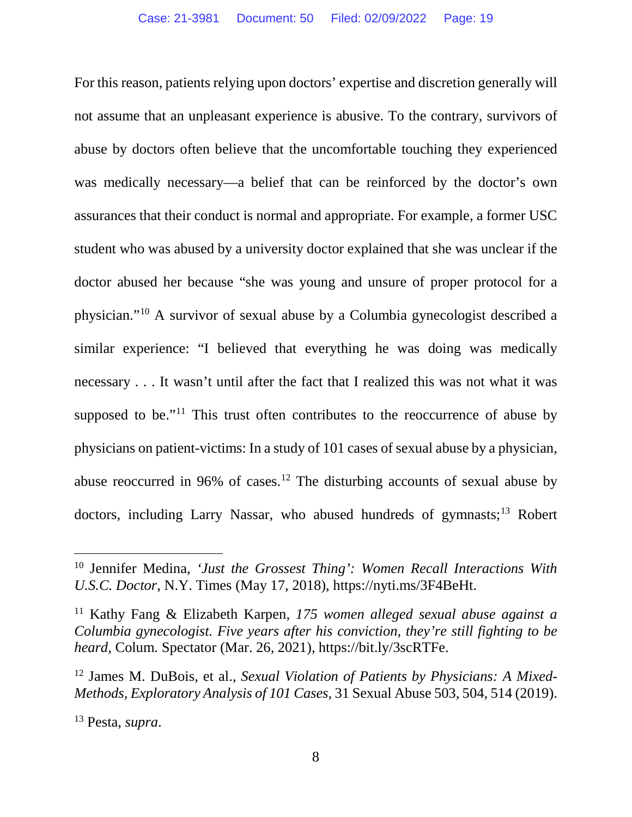For this reason, patients relying upon doctors' expertise and discretion generally will not assume that an unpleasant experience is abusive. To the contrary, survivors of abuse by doctors often believe that the uncomfortable touching they experienced was medically necessary—a belief that can be reinforced by the doctor's own assurances that their conduct is normal and appropriate. For example, a former USC student who was abused by a university doctor explained that she was unclear if the doctor abused her because "she was young and unsure of proper protocol for a physician."10 A survivor of sexual abuse by a Columbia gynecologist described a similar experience: "I believed that everything he was doing was medically necessary . . . It wasn't until after the fact that I realized this was not what it was supposed to be."<sup>11</sup> This trust often contributes to the reoccurrence of abuse by physicians on patient-victims: In a study of 101 cases of sexual abuse by a physician, abuse reoccurred in 96% of cases. <sup>12</sup> The disturbing accounts of sexual abuse by doctors, including Larry Nassar, who abused hundreds of gymnasts;<sup>13</sup> Robert

<sup>10</sup> Jennifer Medina, *'Just the Grossest Thing': Women Recall Interactions With U.S.C. Doctor*, N.Y. Times (May 17, 2018), https://nyti.ms/3F4BeHt.

<sup>11</sup> Kathy Fang & Elizabeth Karpen, *175 women alleged sexual abuse against a Columbia gynecologist. Five years after his conviction, they're still fighting to be heard*, Colum. Spectator (Mar. 26, 2021), https://bit.ly/3scRTFe.

<sup>12</sup> James M. DuBois, et al., *Sexual Violation of Patients by Physicians: A Mixed-Methods, Exploratory Analysis of 101 Cases,* 31 Sexual Abuse 503, 504, 514 (2019).

<sup>13</sup> Pesta, *supra*.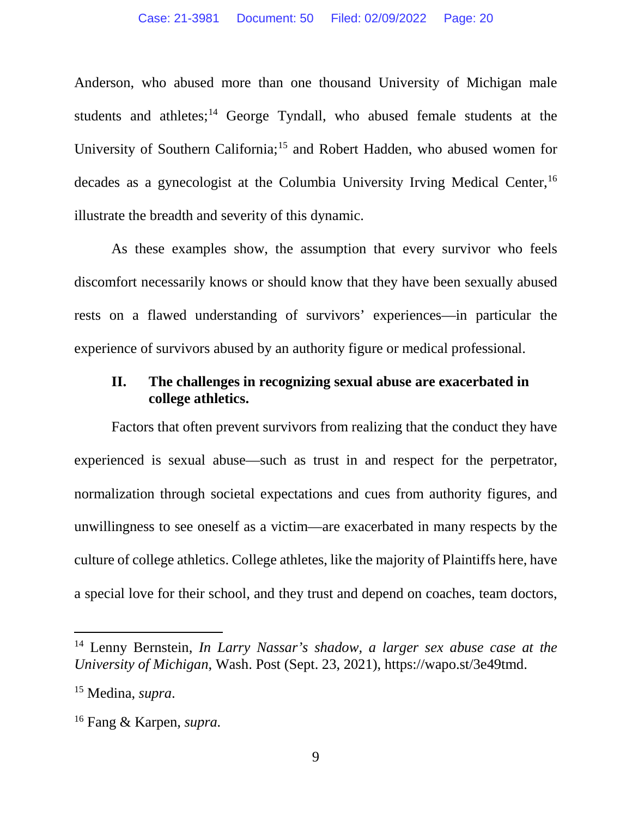Anderson, who abused more than one thousand University of Michigan male students and athletes; $<sup>14</sup>$  George Tyndall, who abused female students at the</sup> University of Southern California;<sup>15</sup> and Robert Hadden, who abused women for decades as a gynecologist at the Columbia University Irving Medical Center,<sup>16</sup> illustrate the breadth and severity of this dynamic.

As these examples show, the assumption that every survivor who feels discomfort necessarily knows or should know that they have been sexually abused rests on a flawed understanding of survivors' experiences—in particular the experience of survivors abused by an authority figure or medical professional.

### **II. The challenges in recognizing sexual abuse are exacerbated in college athletics.**

Factors that often prevent survivors from realizing that the conduct they have experienced is sexual abuse—such as trust in and respect for the perpetrator, normalization through societal expectations and cues from authority figures, and unwillingness to see oneself as a victim—are exacerbated in many respects by the culture of college athletics. College athletes, like the majority of Plaintiffs here, have a special love for their school, and they trust and depend on coaches, team doctors,

<sup>14</sup> Lenny Bernstein, *In Larry Nassar's shadow, a larger sex abuse case at the University of Michigan*, Wash. Post (Sept. 23, 2021), https://wapo.st/3e49tmd.

<sup>15</sup> Medina, *supra*.

<sup>16</sup> Fang & Karpen, *supra.*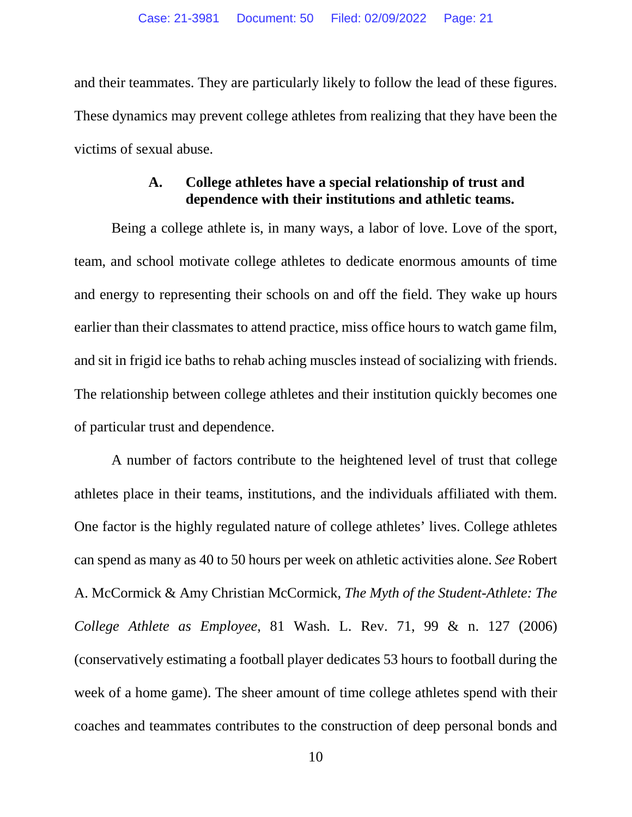and their teammates. They are particularly likely to follow the lead of these figures. These dynamics may prevent college athletes from realizing that they have been the victims of sexual abuse.

## **A. College athletes have a special relationship of trust and dependence with their institutions and athletic teams.**

Being a college athlete is, in many ways, a labor of love. Love of the sport, team, and school motivate college athletes to dedicate enormous amounts of time and energy to representing their schools on and off the field. They wake up hours earlier than their classmates to attend practice, miss office hours to watch game film, and sit in frigid ice baths to rehab aching muscles instead of socializing with friends. The relationship between college athletes and their institution quickly becomes one of particular trust and dependence.

A number of factors contribute to the heightened level of trust that college athletes place in their teams, institutions, and the individuals affiliated with them. One factor is the highly regulated nature of college athletes' lives. College athletes can spend as many as 40 to 50 hours per week on athletic activities alone. *See* Robert A. McCormick & Amy Christian McCormick, *The Myth of the Student-Athlete: The College Athlete as Employee*, 81 Wash. L. Rev. 71, 99 & n. 127 (2006) (conservatively estimating a football player dedicates 53 hours to football during the week of a home game). The sheer amount of time college athletes spend with their coaches and teammates contributes to the construction of deep personal bonds and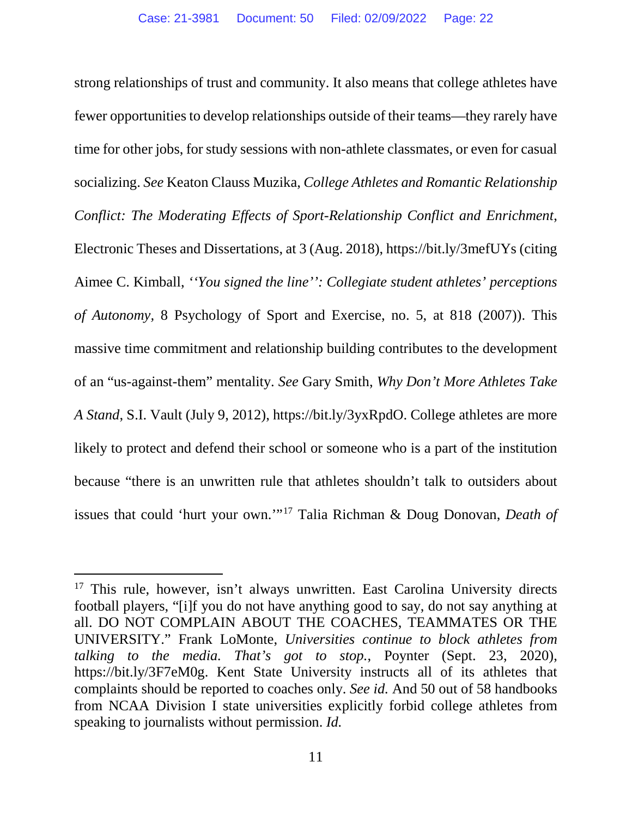strong relationships of trust and community. It also means that college athletes have fewer opportunities to develop relationships outside of their teams—they rarely have time for other jobs, for study sessions with non-athlete classmates, or even for casual socializing. *See* Keaton Clauss Muzika, *College Athletes and Romantic Relationship Conflict: The Moderating Effects of Sport-Relationship Conflict and Enrichment*, Electronic Theses and Dissertations, at 3 (Aug. 2018), https://bit.ly/3mefUYs (citing Aimee C. Kimball, *''You signed the line'': Collegiate student athletes' perceptions of Autonomy,* 8 Psychology of Sport and Exercise, no. 5, at 818 (2007)). This massive time commitment and relationship building contributes to the development of an "us-against-them" mentality. *See* Gary Smith, *Why Don't More Athletes Take A Stand*, S.I. Vault (July 9, 2012), https://bit.ly/3yxRpdO. College athletes are more likely to protect and defend their school or someone who is a part of the institution because "there is an unwritten rule that athletes shouldn't talk to outsiders about issues that could 'hurt your own.'"17 Talia Richman & Doug Donovan, *Death of* 

 $17$  This rule, however, isn't always unwritten. East Carolina University directs football players, "[i]f you do not have anything good to say, do not say anything at all. DO NOT COMPLAIN ABOUT THE COACHES, TEAMMATES OR THE UNIVERSITY." Frank LoMonte, *Universities continue to block athletes from talking to the media. That's got to stop.*, Poynter (Sept. 23, 2020), https://bit.ly/3F7eM0g. Kent State University instructs all of its athletes that complaints should be reported to coaches only. *See id.* And 50 out of 58 handbooks from NCAA Division I state universities explicitly forbid college athletes from speaking to journalists without permission. *Id.*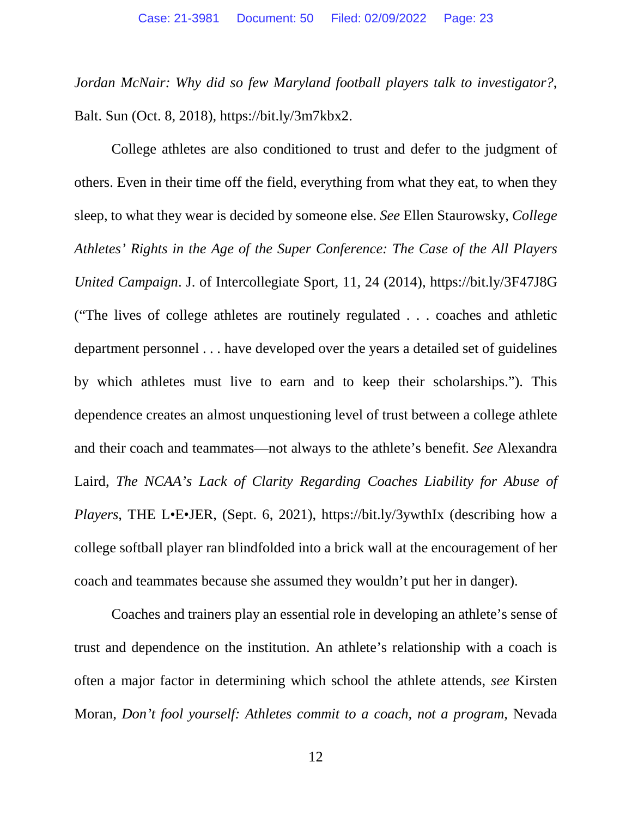*Jordan McNair: Why did so few Maryland football players talk to investigator?*, Balt. Sun (Oct. 8, 2018), https://bit.ly/3m7kbx2.

College athletes are also conditioned to trust and defer to the judgment of others. Even in their time off the field, everything from what they eat, to when they sleep, to what they wear is decided by someone else. *See* Ellen Staurowsky, *College Athletes' Rights in the Age of the Super Conference: The Case of the All Players United Campaign*. J. of Intercollegiate Sport, 11, 24 (2014), https://bit.ly/3F47J8G ("The lives of college athletes are routinely regulated . . . coaches and athletic department personnel . . . have developed over the years a detailed set of guidelines by which athletes must live to earn and to keep their scholarships."). This dependence creates an almost unquestioning level of trust between a college athlete and their coach and teammates—not always to the athlete's benefit. *See* Alexandra Laird, *The NCAA's Lack of Clarity Regarding Coaches Liability for Abuse of Players*, THE L•E•JER, (Sept. 6, 2021), https://bit.ly/3ywthIx (describing how a college softball player ran blindfolded into a brick wall at the encouragement of her coach and teammates because she assumed they wouldn't put her in danger).

Coaches and trainers play an essential role in developing an athlete's sense of trust and dependence on the institution. An athlete's relationship with a coach is often a major factor in determining which school the athlete attends, *see* Kirsten Moran, *Don't fool yourself: Athletes commit to a coach, not a program*, Nevada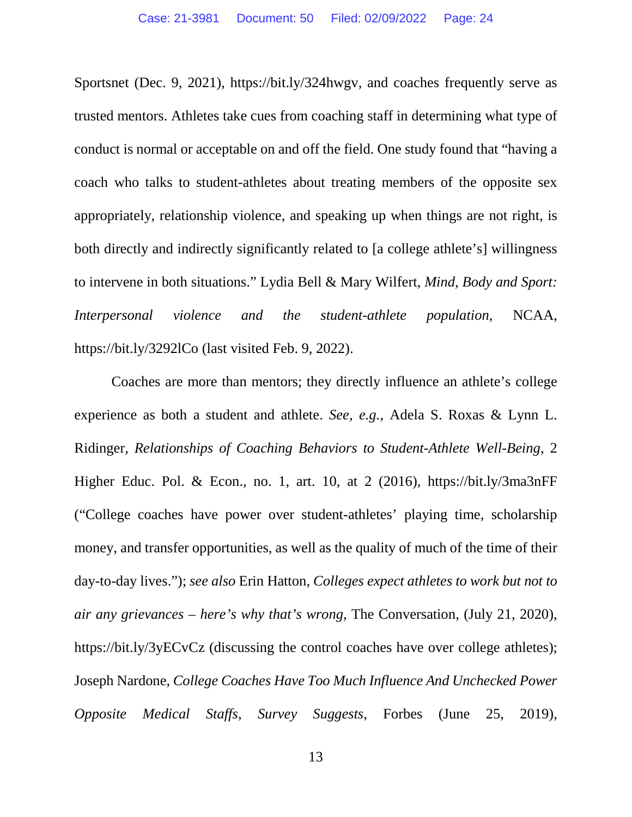Sportsnet (Dec. 9, 2021), https://bit.ly/324hwgv, and coaches frequently serve as trusted mentors. Athletes take cues from coaching staff in determining what type of conduct is normal or acceptable on and off the field. One study found that "having a coach who talks to student-athletes about treating members of the opposite sex appropriately, relationship violence, and speaking up when things are not right, is both directly and indirectly significantly related to [a college athlete's] willingness to intervene in both situations." Lydia Bell & Mary Wilfert, *Mind, Body and Sport: Interpersonal violence and the student-athlete population*, NCAA, https://bit.ly/3292lCo (last visited Feb. 9, 2022).

Coaches are more than mentors; they directly influence an athlete's college experience as both a student and athlete. *See, e.g.*, Adela S. Roxas & Lynn L. Ridinger, *Relationships of Coaching Behaviors to Student-Athlete Well-Being*, 2 Higher Educ. Pol. & Econ., no. 1, art. 10, at 2 (2016), https://bit.ly/3ma3nFF ("College coaches have power over student-athletes' playing time, scholarship money, and transfer opportunities, as well as the quality of much of the time of their day-to-day lives."); *see also* Erin Hatton, *Colleges expect athletes to work but not to air any grievances – here's why that's wrong*, The Conversation, (July 21, 2020), https://bit.ly/3yECvCz (discussing the control coaches have over college athletes); Joseph Nardone, *College Coaches Have Too Much Influence And Unchecked Power Opposite Medical Staffs, Survey Suggests*, Forbes (June 25, 2019),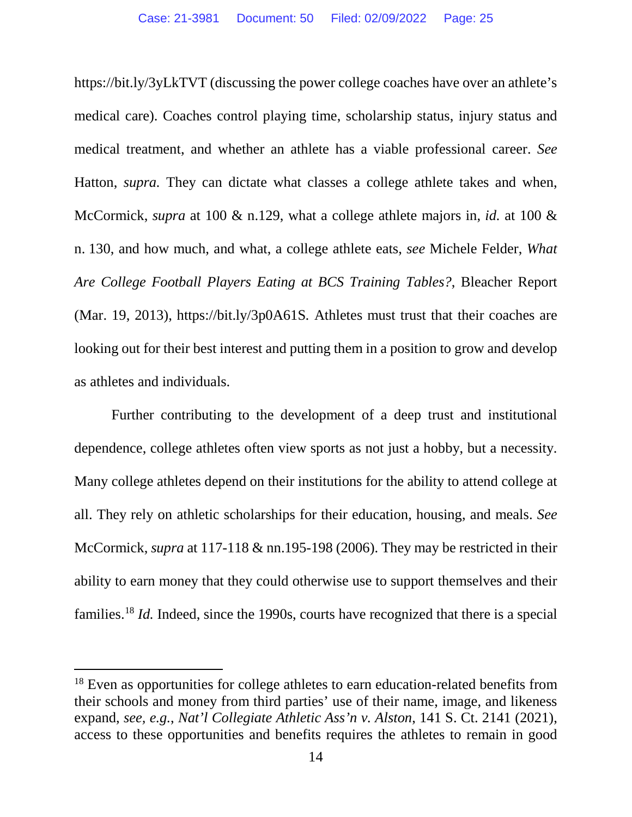https://bit.ly/3yLkTVT (discussing the power college coaches have over an athlete's medical care). Coaches control playing time, scholarship status, injury status and medical treatment, and whether an athlete has a viable professional career. *See* Hatton, *supra.* They can dictate what classes a college athlete takes and when, McCormick, *supra* at 100 & n.129, what a college athlete majors in, *id.* at 100 & n. 130, and how much, and what, a college athlete eats, *see* Michele Felder, *What Are College Football Players Eating at BCS Training Tables?*, Bleacher Report (Mar. 19, 2013), https://bit.ly/3p0A61S*.* Athletes must trust that their coaches are looking out for their best interest and putting them in a position to grow and develop as athletes and individuals.

Further contributing to the development of a deep trust and institutional dependence, college athletes often view sports as not just a hobby, but a necessity. Many college athletes depend on their institutions for the ability to attend college at all. They rely on athletic scholarships for their education, housing, and meals. *See* McCormick, *supra* at 117-118 & nn.195-198 (2006). They may be restricted in their ability to earn money that they could otherwise use to support themselves and their families.<sup>18</sup> *Id.* Indeed, since the 1990s, courts have recognized that there is a special

<sup>&</sup>lt;sup>18</sup> Even as opportunities for college athletes to earn education-related benefits from their schools and money from third parties' use of their name, image, and likeness expand, *see, e.g.*, *Nat'l Collegiate Athletic Ass'n v. Alston*, 141 S. Ct. 2141 (2021), access to these opportunities and benefits requires the athletes to remain in good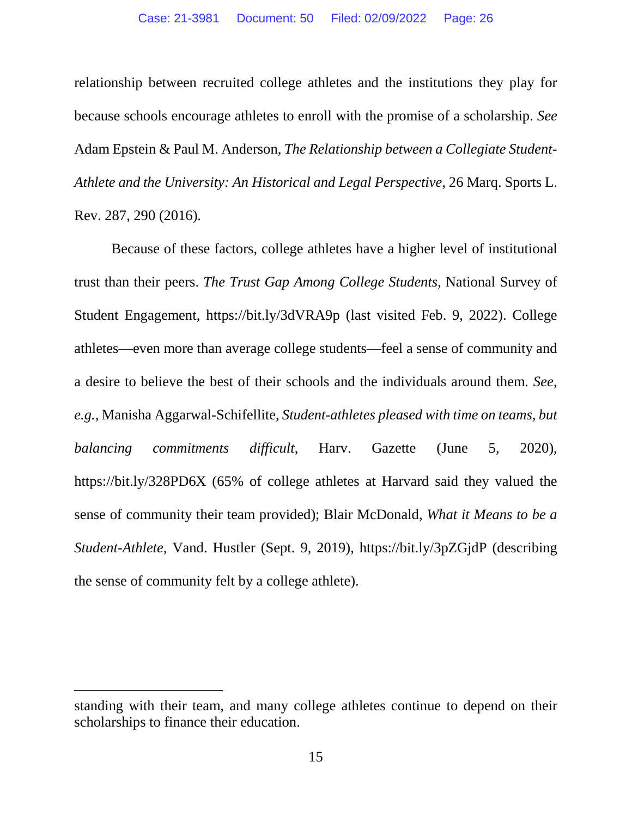relationship between recruited college athletes and the institutions they play for because schools encourage athletes to enroll with the promise of a scholarship. *See* Adam Epstein & Paul M. Anderson, *The Relationship between a Collegiate Student-Athlete and the University: An Historical and Legal Perspective*, 26 Marq. Sports L. Rev. 287, 290 (2016).

Because of these factors, college athletes have a higher level of institutional trust than their peers. *The Trust Gap Among College Students*, National Survey of Student Engagement, https://bit.ly/3dVRA9p (last visited Feb. 9, 2022). College athletes—even more than average college students—feel a sense of community and a desire to believe the best of their schools and the individuals around them. *See, e.g.*, Manisha Aggarwal-Schifellite, *Student-athletes pleased with time on teams, but balancing commitments difficult*, Harv. Gazette (June 5, 2020), https://bit.ly/328PD6X (65% of college athletes at Harvard said they valued the sense of community their team provided); Blair McDonald, *What it Means to be a Student-Athlete*, Vand. Hustler (Sept. 9, 2019), https://bit.ly/3pZGjdP (describing the sense of community felt by a college athlete).

standing with their team, and many college athletes continue to depend on their scholarships to finance their education.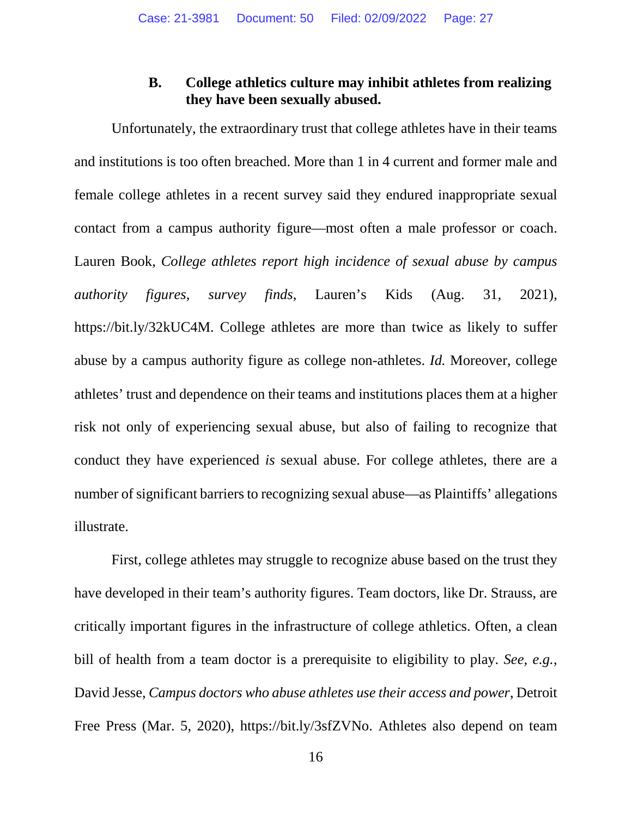#### **B. College athletics culture may inhibit athletes from realizing they have been sexually abused.**

Unfortunately, the extraordinary trust that college athletes have in their teams and institutions is too often breached. More than 1 in 4 current and former male and female college athletes in a recent survey said they endured inappropriate sexual contact from a campus authority figure—most often a male professor or coach. Lauren Book, *College athletes report high incidence of sexual abuse by campus authority figures, survey finds*, Lauren's Kids (Aug. 31, 2021), https://bit.ly/32kUC4M. College athletes are more than twice as likely to suffer abuse by a campus authority figure as college non-athletes. *Id.* Moreover, college athletes' trust and dependence on their teams and institutions places them at a higher risk not only of experiencing sexual abuse, but also of failing to recognize that conduct they have experienced *is* sexual abuse. For college athletes, there are a number of significant barriers to recognizing sexual abuse—as Plaintiffs' allegations illustrate.

First, college athletes may struggle to recognize abuse based on the trust they have developed in their team's authority figures. Team doctors, like Dr. Strauss, are critically important figures in the infrastructure of college athletics. Often, a clean bill of health from a team doctor is a prerequisite to eligibility to play. *See, e.g.*, David Jesse, *Campus doctors who abuse athletes use their access and power*, Detroit Free Press (Mar. 5, 2020), https://bit.ly/3sfZVNo. Athletes also depend on team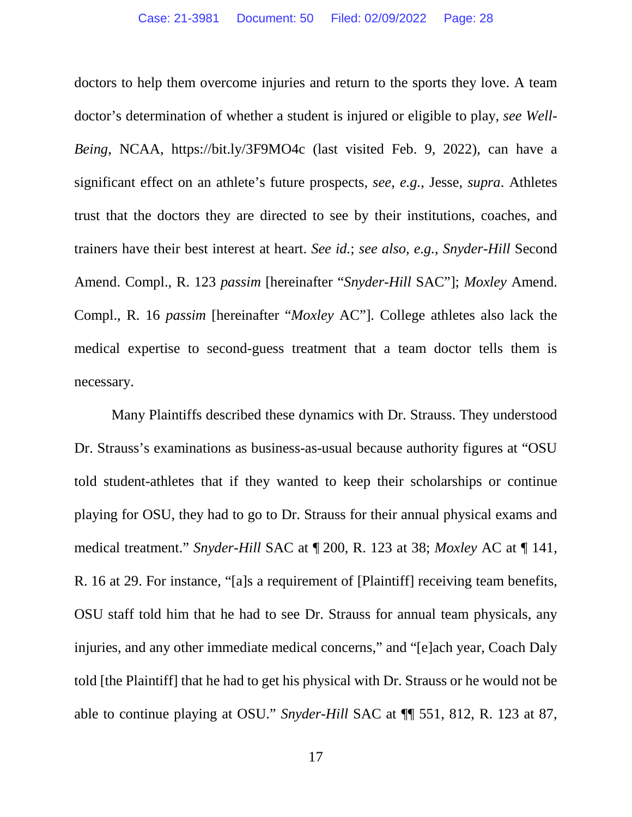doctors to help them overcome injuries and return to the sports they love. A team doctor's determination of whether a student is injured or eligible to play, *see Well-Being*, NCAA, https://bit.ly/3F9MO4c (last visited Feb. 9, 2022), can have a significant effect on an athlete's future prospects, *see, e.g.*, Jesse, *supra*. Athletes trust that the doctors they are directed to see by their institutions, coaches, and trainers have their best interest at heart. *See id.*; *see also, e.g.*, *Snyder-Hill* Second Amend. Compl., R. 123 *passim* [hereinafter "*Snyder-Hill* SAC"]; *Moxley* Amend. Compl., R. 16 *passim* [hereinafter "*Moxley* AC"]. College athletes also lack the medical expertise to second-guess treatment that a team doctor tells them is necessary.

Many Plaintiffs described these dynamics with Dr. Strauss. They understood Dr. Strauss's examinations as business-as-usual because authority figures at "OSU told student-athletes that if they wanted to keep their scholarships or continue playing for OSU, they had to go to Dr. Strauss for their annual physical exams and medical treatment." *Snyder-Hill* SAC at ¶ 200, R. 123 at 38; *Moxley* AC at ¶ 141, R. 16 at 29. For instance, "[a]s a requirement of [Plaintiff] receiving team benefits, OSU staff told him that he had to see Dr. Strauss for annual team physicals, any injuries, and any other immediate medical concerns," and "[e]ach year, Coach Daly told [the Plaintiff] that he had to get his physical with Dr. Strauss or he would not be able to continue playing at OSU." *Snyder-Hill* SAC at ¶¶ 551, 812, R. 123 at 87,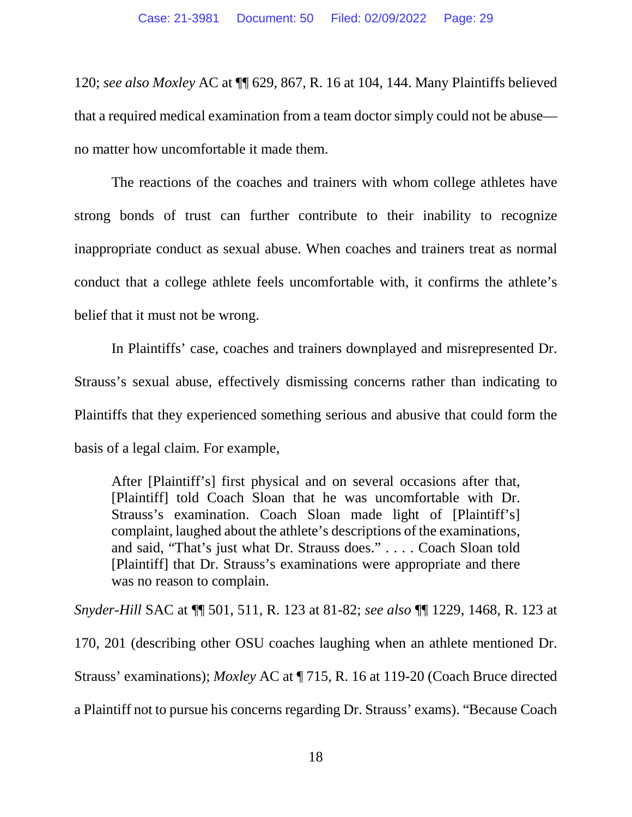120; *see also Moxley* AC at ¶¶ 629, 867, R. 16 at 104, 144. Many Plaintiffs believed that a required medical examination from a team doctor simply could not be abuse no matter how uncomfortable it made them.

The reactions of the coaches and trainers with whom college athletes have strong bonds of trust can further contribute to their inability to recognize inappropriate conduct as sexual abuse. When coaches and trainers treat as normal conduct that a college athlete feels uncomfortable with, it confirms the athlete's belief that it must not be wrong.

In Plaintiffs' case, coaches and trainers downplayed and misrepresented Dr. Strauss's sexual abuse, effectively dismissing concerns rather than indicating to Plaintiffs that they experienced something serious and abusive that could form the basis of a legal claim. For example,

After [Plaintiff's] first physical and on several occasions after that, [Plaintiff] told Coach Sloan that he was uncomfortable with Dr. Strauss's examination. Coach Sloan made light of [Plaintiff's] complaint, laughed about the athlete's descriptions of the examinations, and said, "That's just what Dr. Strauss does." . . . . Coach Sloan told [Plaintiff] that Dr. Strauss's examinations were appropriate and there was no reason to complain.

*Snyder-Hill* SAC at ¶¶ 501, 511, R. 123 at 81-82; *see also* ¶¶ 1229, 1468, R. 123 at 170, 201 (describing other OSU coaches laughing when an athlete mentioned Dr. Strauss' examinations); *Moxley* AC at ¶ 715, R. 16 at 119-20 (Coach Bruce directed a Plaintiff not to pursue his concerns regarding Dr. Strauss' exams). "Because Coach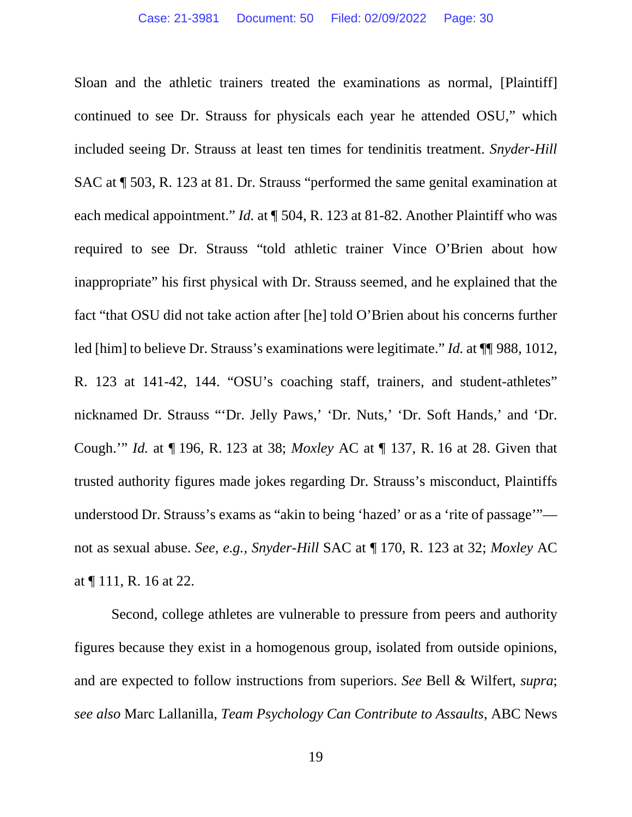Sloan and the athletic trainers treated the examinations as normal, [Plaintiff] continued to see Dr. Strauss for physicals each year he attended OSU," which included seeing Dr. Strauss at least ten times for tendinitis treatment. *Snyder-Hill*  SAC at ¶ 503, R. 123 at 81. Dr. Strauss "performed the same genital examination at each medical appointment." *Id.* at  $\P$  504, R. 123 at 81-82. Another Plaintiff who was required to see Dr. Strauss "told athletic trainer Vince O'Brien about how inappropriate" his first physical with Dr. Strauss seemed, and he explained that the fact "that OSU did not take action after [he] told O'Brien about his concerns further led [him] to believe Dr. Strauss's examinations were legitimate." *Id.* at ¶¶ 988, 1012, R. 123 at 141-42, 144. "OSU's coaching staff, trainers, and student-athletes" nicknamed Dr. Strauss "'Dr. Jelly Paws,' 'Dr. Nuts,' 'Dr. Soft Hands,' and 'Dr. Cough.'" *Id.* at ¶ 196, R. 123 at 38; *Moxley* AC at ¶ 137, R. 16 at 28. Given that trusted authority figures made jokes regarding Dr. Strauss's misconduct, Plaintiffs understood Dr. Strauss's exams as "akin to being 'hazed' or as a 'rite of passage'" not as sexual abuse. *See, e.g., Snyder-Hill* SAC at ¶ 170, R. 123 at 32; *Moxley* AC at ¶ 111, R. 16 at 22.

Second, college athletes are vulnerable to pressure from peers and authority figures because they exist in a homogenous group, isolated from outside opinions, and are expected to follow instructions from superiors. *See* Bell & Wilfert, *supra*; *see also* Marc Lallanilla, *Team Psychology Can Contribute to Assaults*, ABC News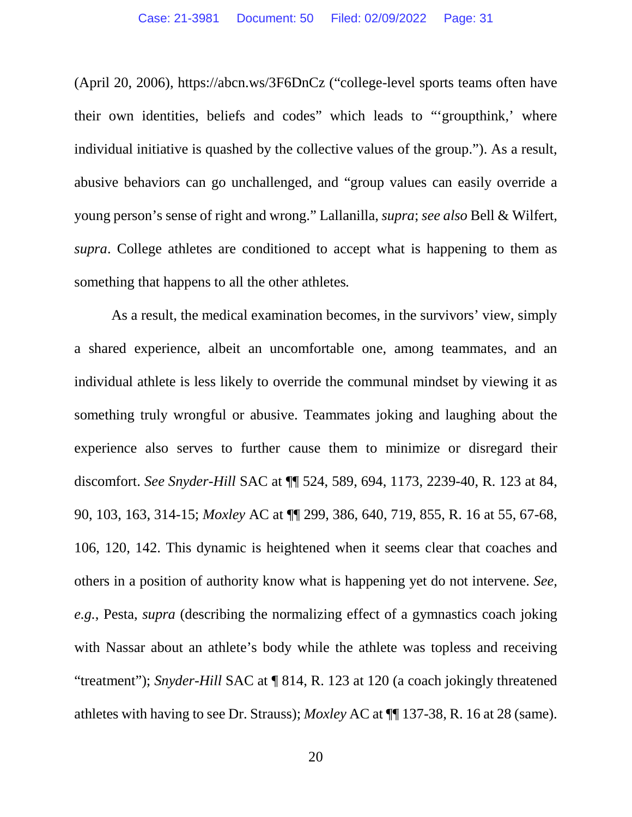(April 20, 2006), https://abcn.ws/3F6DnCz ("college-level sports teams often have their own identities, beliefs and codes" which leads to "'groupthink,' where individual initiative is quashed by the collective values of the group."). As a result, abusive behaviors can go unchallenged, and "group values can easily override a young person's sense of right and wrong." Lallanilla, *supra*; *see also* Bell & Wilfert*, supra*. College athletes are conditioned to accept what is happening to them as something that happens to all the other athletes*.* 

As a result, the medical examination becomes, in the survivors' view, simply a shared experience, albeit an uncomfortable one, among teammates, and an individual athlete is less likely to override the communal mindset by viewing it as something truly wrongful or abusive. Teammates joking and laughing about the experience also serves to further cause them to minimize or disregard their discomfort. *See Snyder-Hill* SAC at ¶¶ 524, 589, 694, 1173, 2239-40, R. 123 at 84, 90, 103, 163, 314-15; *Moxley* AC at ¶¶ 299, 386, 640, 719, 855, R. 16 at 55, 67-68, 106, 120, 142. This dynamic is heightened when it seems clear that coaches and others in a position of authority know what is happening yet do not intervene. *See, e.g.*, Pesta, *supra* (describing the normalizing effect of a gymnastics coach joking with Nassar about an athlete's body while the athlete was topless and receiving "treatment"); *Snyder-Hill* SAC at ¶ 814, R. 123 at 120 (a coach jokingly threatened athletes with having to see Dr. Strauss); *Moxley* AC at ¶¶ 137-38, R. 16 at 28 (same).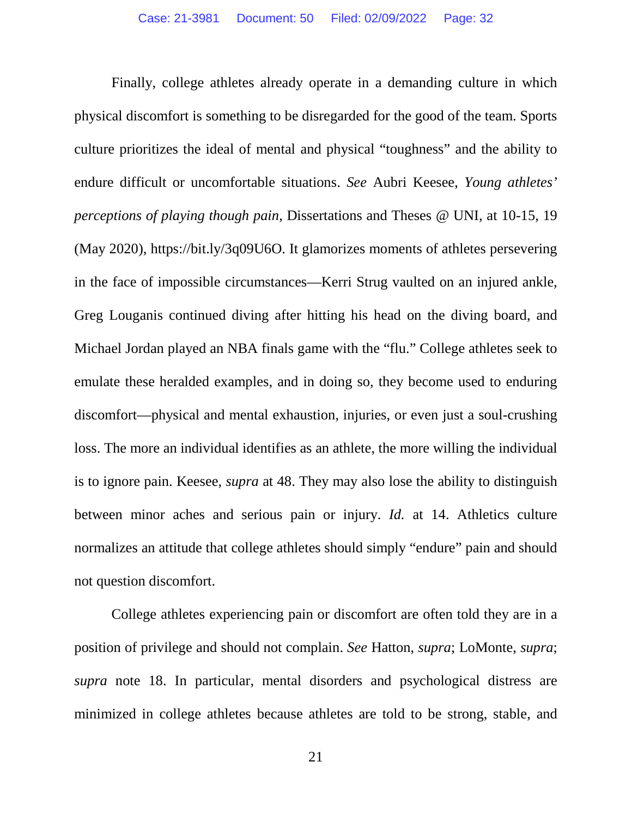Finally, college athletes already operate in a demanding culture in which physical discomfort is something to be disregarded for the good of the team. Sports culture prioritizes the ideal of mental and physical "toughness" and the ability to endure difficult or uncomfortable situations. *See* Aubri Keesee, *Young athletes' perceptions of playing though pain*, Dissertations and Theses @ UNI, at 10-15, 19 (May 2020), https://bit.ly/3q09U6O. It glamorizes moments of athletes persevering in the face of impossible circumstances—Kerri Strug vaulted on an injured ankle, Greg Louganis continued diving after hitting his head on the diving board, and Michael Jordan played an NBA finals game with the "flu." College athletes seek to emulate these heralded examples, and in doing so, they become used to enduring discomfort—physical and mental exhaustion, injuries, or even just a soul-crushing loss. The more an individual identifies as an athlete, the more willing the individual is to ignore pain. Keesee, *supra* at 48. They may also lose the ability to distinguish between minor aches and serious pain or injury. *Id.* at 14. Athletics culture normalizes an attitude that college athletes should simply "endure" pain and should not question discomfort.

College athletes experiencing pain or discomfort are often told they are in a position of privilege and should not complain. *See* Hatton, *supra*; LoMonte, *supra*; *supra* note 18. In particular, mental disorders and psychological distress are minimized in college athletes because athletes are told to be strong, stable, and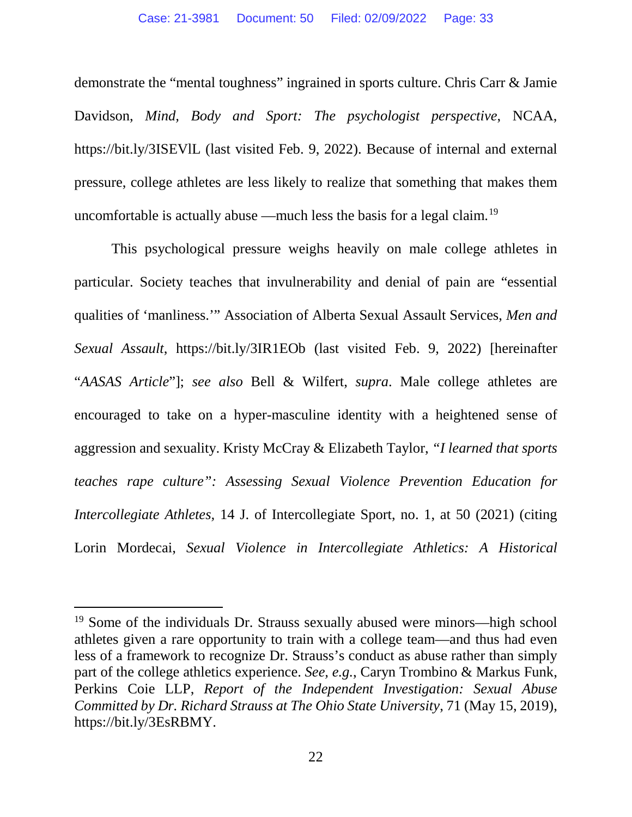demonstrate the "mental toughness" ingrained in sports culture. Chris Carr & Jamie Davidson, *Mind, Body and Sport: The psychologist perspective*, NCAA, https://bit.ly/3ISEVlL (last visited Feb. 9, 2022). Because of internal and external pressure, college athletes are less likely to realize that something that makes them uncomfortable is actually abuse —much less the basis for a legal claim.19

This psychological pressure weighs heavily on male college athletes in particular. Society teaches that invulnerability and denial of pain are "essential qualities of 'manliness.'" Association of Alberta Sexual Assault Services, *Men and Sexual Assault*, https://bit.ly/3IR1EOb (last visited Feb. 9, 2022) [hereinafter "*AASAS Article*"]; *see also* Bell & Wilfert, *supra*. Male college athletes are encouraged to take on a hyper-masculine identity with a heightened sense of aggression and sexuality. Kristy McCray & Elizabeth Taylor, *"I learned that sports teaches rape culture": Assessing Sexual Violence Prevention Education for Intercollegiate Athletes,* 14 J. of Intercollegiate Sport, no. 1, at 50 (2021) (citing Lorin Mordecai, *Sexual Violence in Intercollegiate Athletics: A Historical* 

<sup>19</sup> Some of the individuals Dr. Strauss sexually abused were minors—high school athletes given a rare opportunity to train with a college team—and thus had even less of a framework to recognize Dr. Strauss's conduct as abuse rather than simply part of the college athletics experience. *See, e.g.*, Caryn Trombino & Markus Funk, Perkins Coie LLP, *Report of the Independent Investigation: Sexual Abuse Committed by Dr. Richard Strauss at The Ohio State University*, 71 (May 15, 2019), https://bit.ly/3EsRBMY.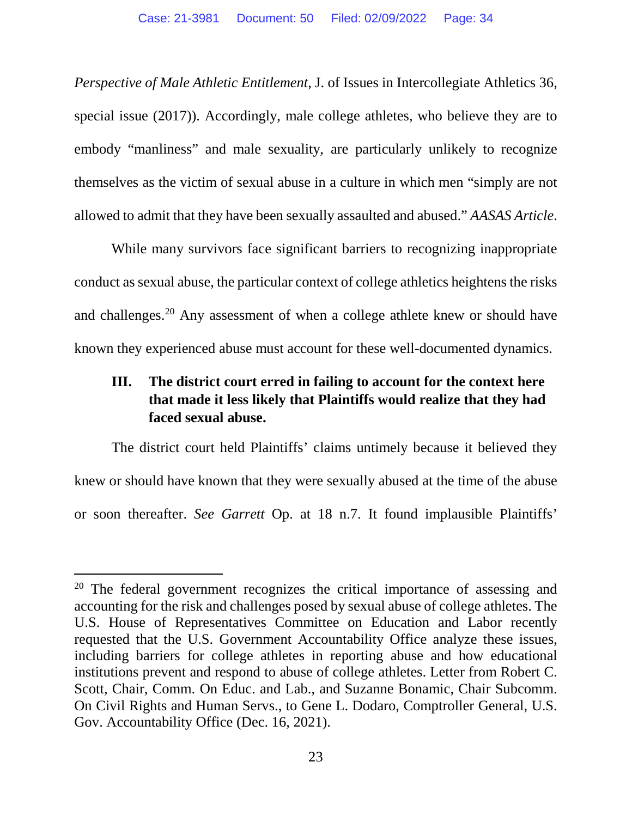*Perspective of Male Athletic Entitlement*, J. of Issues in Intercollegiate Athletics 36, special issue (2017)). Accordingly, male college athletes, who believe they are to embody "manliness" and male sexuality, are particularly unlikely to recognize themselves as the victim of sexual abuse in a culture in which men "simply are not allowed to admit that they have been sexually assaulted and abused." *AASAS Article*.

While many survivors face significant barriers to recognizing inappropriate conduct as sexual abuse, the particular context of college athletics heightens the risks and challenges.20 Any assessment of when a college athlete knew or should have known they experienced abuse must account for these well-documented dynamics.

## **III. The district court erred in failing to account for the context here that made it less likely that Plaintiffs would realize that they had faced sexual abuse.**

The district court held Plaintiffs' claims untimely because it believed they knew or should have known that they were sexually abused at the time of the abuse or soon thereafter. *See Garrett* Op. at 18 n.7. It found implausible Plaintiffs'

<sup>&</sup>lt;sup>20</sup> The federal government recognizes the critical importance of assessing and accounting for the risk and challenges posed by sexual abuse of college athletes. The U.S. House of Representatives Committee on Education and Labor recently requested that the U.S. Government Accountability Office analyze these issues, including barriers for college athletes in reporting abuse and how educational institutions prevent and respond to abuse of college athletes. Letter from Robert C. Scott, Chair, Comm. On Educ. and Lab., and Suzanne Bonamic, Chair Subcomm. On Civil Rights and Human Servs., to Gene L. Dodaro, Comptroller General, U.S. Gov. Accountability Office (Dec. 16, 2021).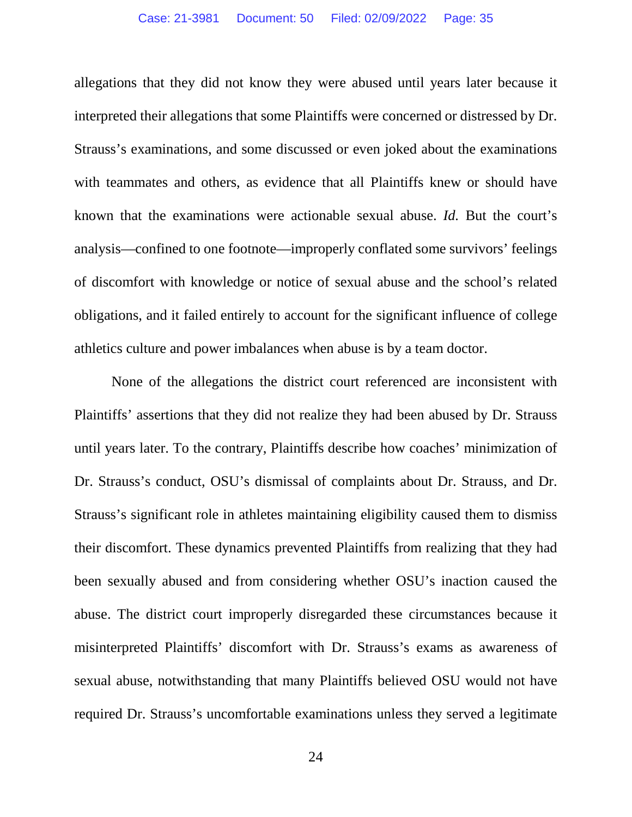allegations that they did not know they were abused until years later because it interpreted their allegations that some Plaintiffs were concerned or distressed by Dr. Strauss's examinations, and some discussed or even joked about the examinations with teammates and others, as evidence that all Plaintiffs knew or should have known that the examinations were actionable sexual abuse. *Id.* But the court's analysis—confined to one footnote—improperly conflated some survivors' feelings of discomfort with knowledge or notice of sexual abuse and the school's related obligations, and it failed entirely to account for the significant influence of college athletics culture and power imbalances when abuse is by a team doctor.

None of the allegations the district court referenced are inconsistent with Plaintiffs' assertions that they did not realize they had been abused by Dr. Strauss until years later. To the contrary, Plaintiffs describe how coaches' minimization of Dr. Strauss's conduct, OSU's dismissal of complaints about Dr. Strauss, and Dr. Strauss's significant role in athletes maintaining eligibility caused them to dismiss their discomfort. These dynamics prevented Plaintiffs from realizing that they had been sexually abused and from considering whether OSU's inaction caused the abuse. The district court improperly disregarded these circumstances because it misinterpreted Plaintiffs' discomfort with Dr. Strauss's exams as awareness of sexual abuse, notwithstanding that many Plaintiffs believed OSU would not have required Dr. Strauss's uncomfortable examinations unless they served a legitimate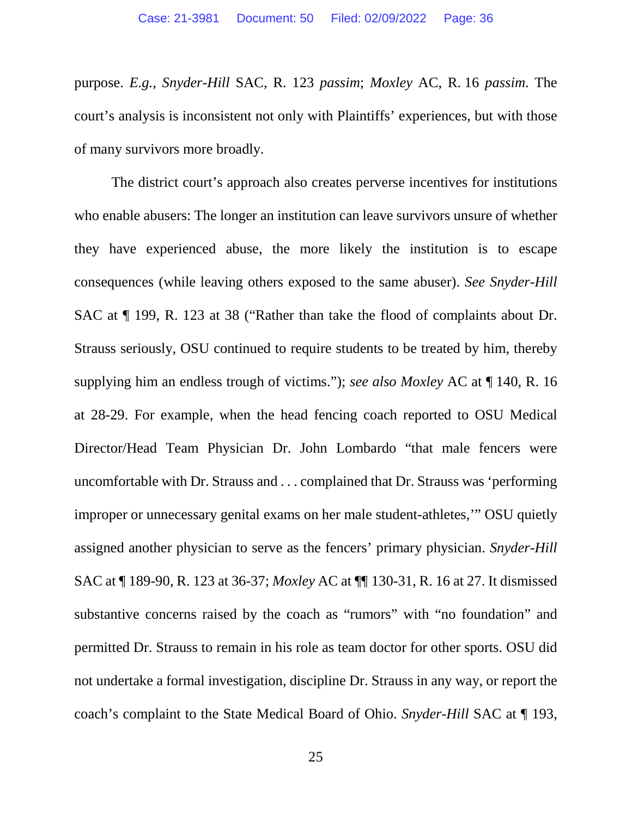purpose. *E.g., Snyder-Hill* SAC, R. 123 *passim*; *Moxley* AC, R. 16 *passim*. The court's analysis is inconsistent not only with Plaintiffs' experiences, but with those of many survivors more broadly.

The district court's approach also creates perverse incentives for institutions who enable abusers: The longer an institution can leave survivors unsure of whether they have experienced abuse, the more likely the institution is to escape consequences (while leaving others exposed to the same abuser). *See Snyder-Hill*  SAC at ¶ 199, R. 123 at 38 ("Rather than take the flood of complaints about Dr. Strauss seriously, OSU continued to require students to be treated by him, thereby supplying him an endless trough of victims."); *see also Moxley* AC at ¶ 140, R. 16 at 28-29. For example, when the head fencing coach reported to OSU Medical Director/Head Team Physician Dr. John Lombardo "that male fencers were uncomfortable with Dr. Strauss and . . . complained that Dr. Strauss was 'performing improper or unnecessary genital exams on her male student-athletes,'" OSU quietly assigned another physician to serve as the fencers' primary physician. *Snyder-Hill*  SAC at ¶ 189-90, R. 123 at 36-37; *Moxley* AC at ¶¶ 130-31, R. 16 at 27. It dismissed substantive concerns raised by the coach as "rumors" with "no foundation" and permitted Dr. Strauss to remain in his role as team doctor for other sports. OSU did not undertake a formal investigation, discipline Dr. Strauss in any way, or report the coach's complaint to the State Medical Board of Ohio. *Snyder-Hill* SAC at ¶ 193,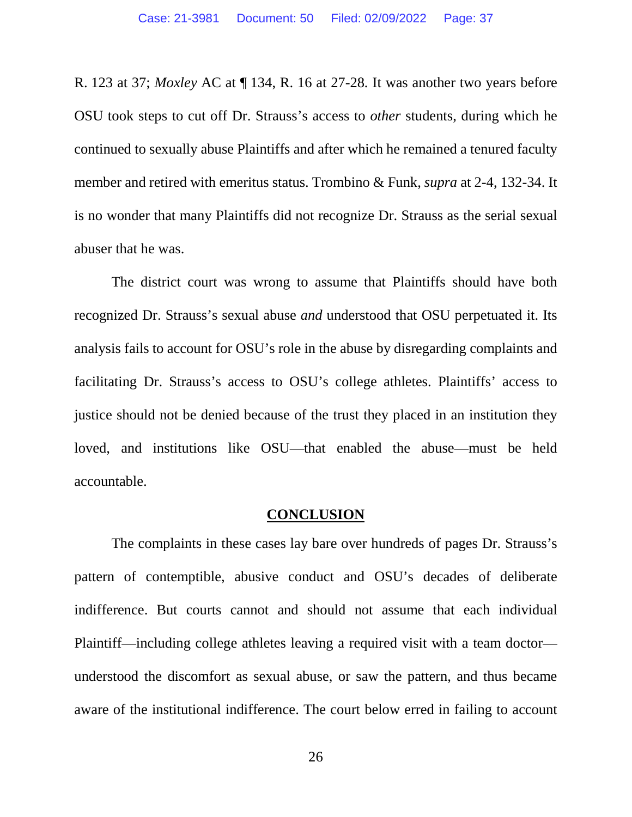R. 123 at 37; *Moxley* AC at ¶ 134, R. 16 at 27-28*.* It was another two years before OSU took steps to cut off Dr. Strauss's access to *other* students, during which he continued to sexually abuse Plaintiffs and after which he remained a tenured faculty member and retired with emeritus status. Trombino & Funk, *supra* at 2-4, 132-34. It is no wonder that many Plaintiffs did not recognize Dr. Strauss as the serial sexual abuser that he was.

The district court was wrong to assume that Plaintiffs should have both recognized Dr. Strauss's sexual abuse *and* understood that OSU perpetuated it. Its analysis fails to account for OSU's role in the abuse by disregarding complaints and facilitating Dr. Strauss's access to OSU's college athletes. Plaintiffs' access to justice should not be denied because of the trust they placed in an institution they loved, and institutions like OSU—that enabled the abuse—must be held accountable.

#### **CONCLUSION**

The complaints in these cases lay bare over hundreds of pages Dr. Strauss's pattern of contemptible, abusive conduct and OSU's decades of deliberate indifference. But courts cannot and should not assume that each individual Plaintiff—including college athletes leaving a required visit with a team doctor understood the discomfort as sexual abuse, or saw the pattern, and thus became aware of the institutional indifference. The court below erred in failing to account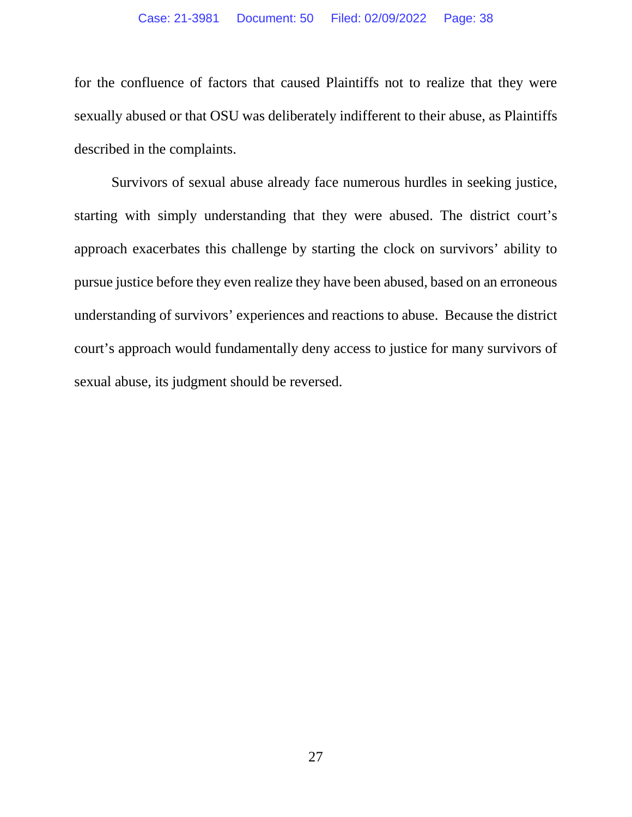for the confluence of factors that caused Plaintiffs not to realize that they were sexually abused or that OSU was deliberately indifferent to their abuse, as Plaintiffs described in the complaints.

Survivors of sexual abuse already face numerous hurdles in seeking justice, starting with simply understanding that they were abused. The district court's approach exacerbates this challenge by starting the clock on survivors' ability to pursue justice before they even realize they have been abused, based on an erroneous understanding of survivors' experiences and reactions to abuse. Because the district court's approach would fundamentally deny access to justice for many survivors of sexual abuse, its judgment should be reversed.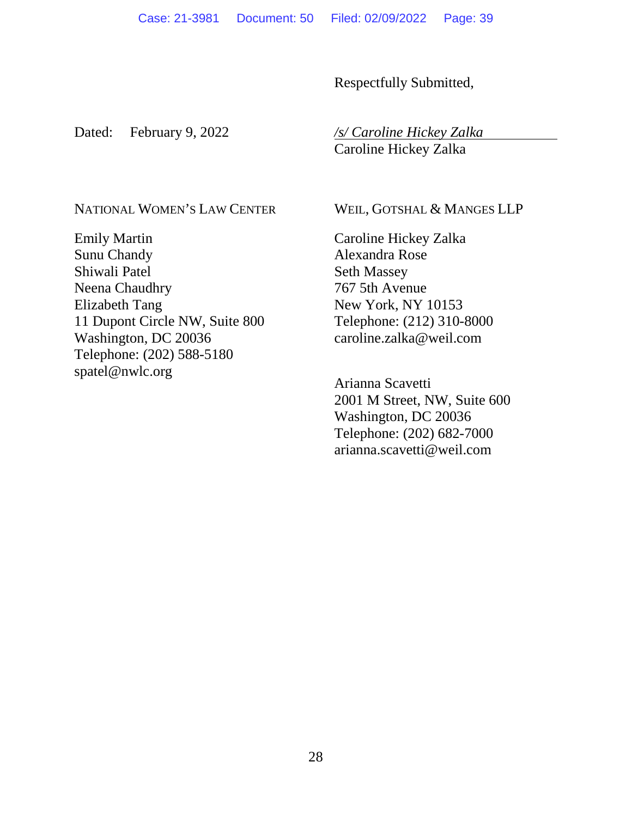Respectfully Submitted,

Dated: February 9, 2022 */s/ Caroline Hickey Zalka* 

**Caroline Hickey Zalka** 

NATIONAL WOMEN'S LAW CENTER

Emily Martin Sunu Chandy Shiwali Patel Neena Chaudhry Elizabeth Tang 11 Dupont Circle NW, Suite 800 Washington, DC 20036 Telephone: (202) 588-5180 spatel@nwlc.org

WEIL, GOTSHAL & MANGES LLP

Caroline Hickey Zalka Alexandra Rose Seth Massey 767 5th Avenue New York, NY 10153 Telephone: (212) 310-8000 caroline.zalka@weil.com

Arianna Scavetti 2001 M Street, NW, Suite 600 Washington, DC 20036 Telephone: (202) 682-7000 arianna.scavetti@weil.com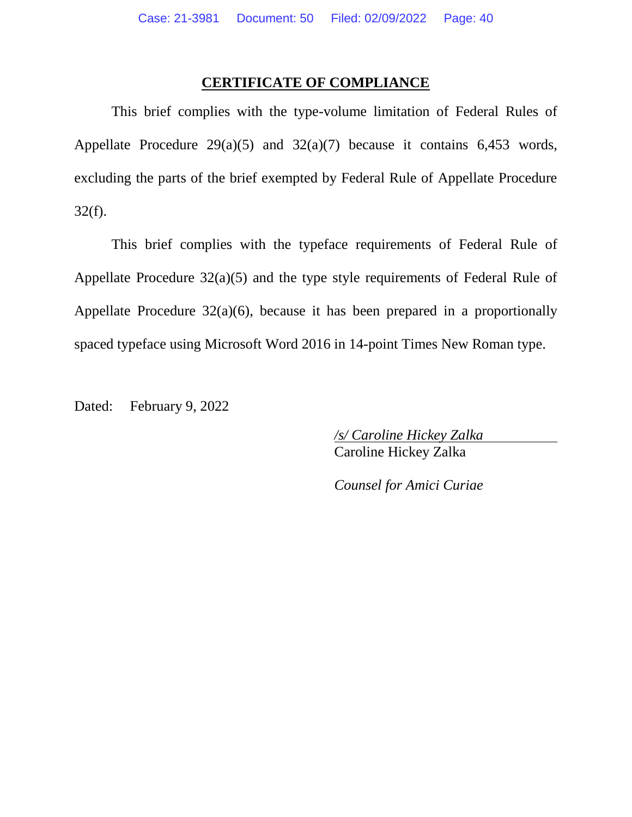#### **CERTIFICATE OF COMPLIANCE**

This brief complies with the type-volume limitation of Federal Rules of Appellate Procedure  $29(a)(5)$  and  $32(a)(7)$  because it contains 6,453 words, excluding the parts of the brief exempted by Federal Rule of Appellate Procedure 32(f).

This brief complies with the typeface requirements of Federal Rule of Appellate Procedure 32(a)(5) and the type style requirements of Federal Rule of Appellate Procedure 32(a)(6), because it has been prepared in a proportionally spaced typeface using Microsoft Word 2016 in 14-point Times New Roman type.

Dated: February 9, 2022

 */s/ Caroline Hickey Zalka*  **Caroline Hickey Zalka** 

*Counsel for Amici Curiae*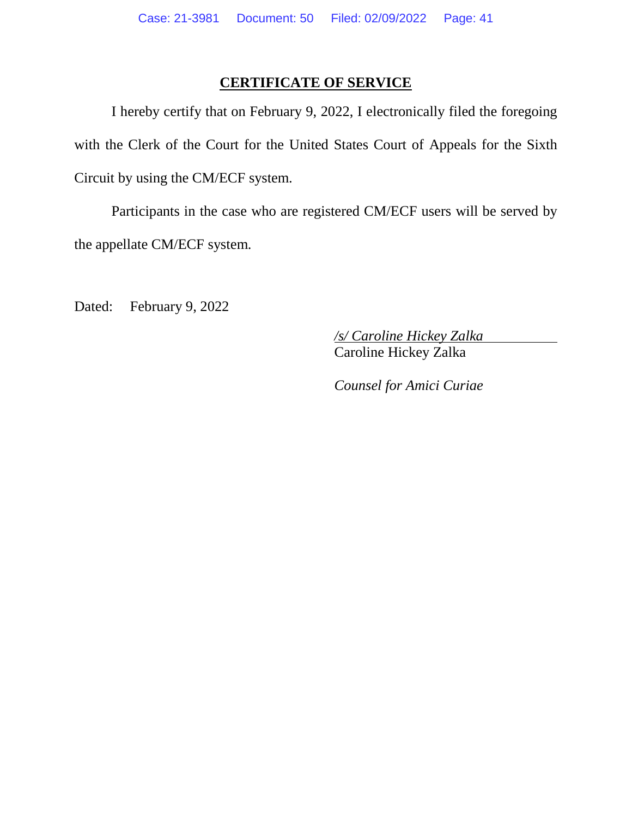### **CERTIFICATE OF SERVICE**

I hereby certify that on February 9, 2022, I electronically filed the foregoing with the Clerk of the Court for the United States Court of Appeals for the Sixth Circuit by using the CM/ECF system.

Participants in the case who are registered CM/ECF users will be served by the appellate CM/ECF system.

Dated: February 9, 2022

 */s/ Caroline Hickey Zalka*  **Caroline Hickey Zalka** 

*Counsel for Amici Curiae*